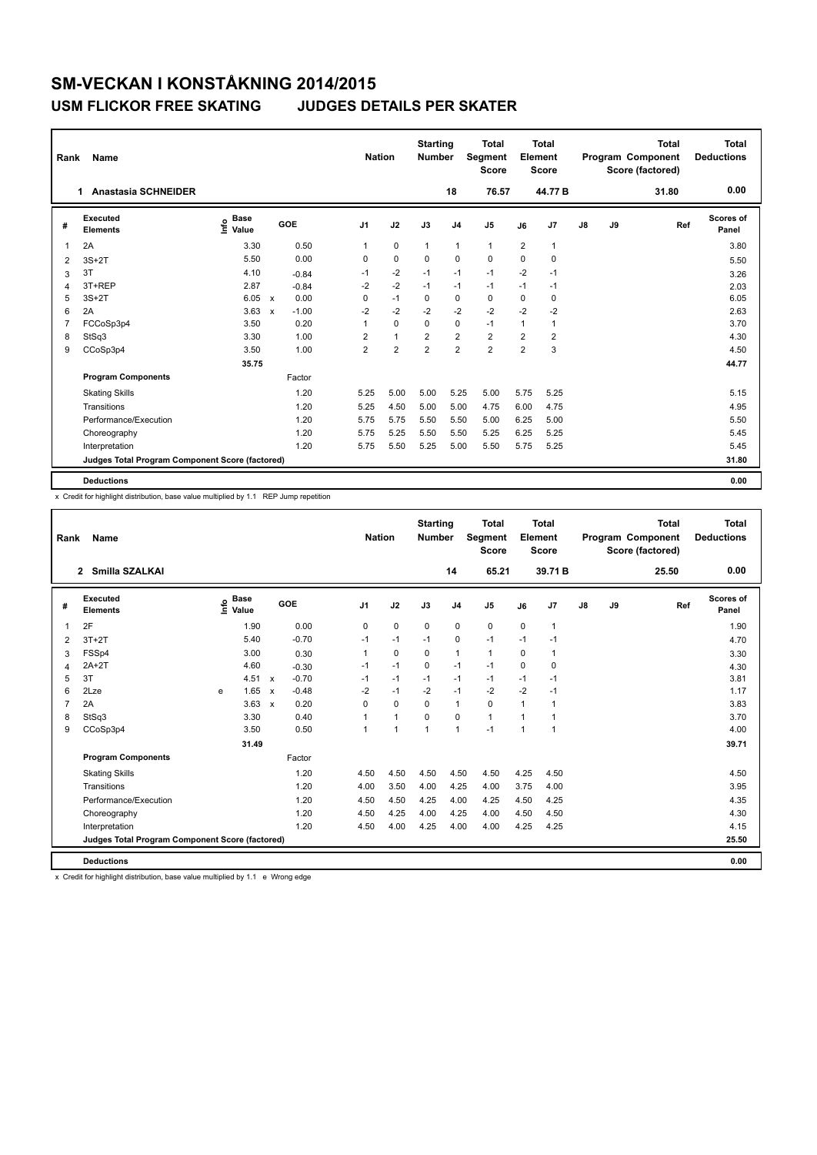| Rank | <b>Name</b>                                     |                              |                                      |                | <b>Nation</b>  | <b>Starting</b><br><b>Number</b> |                | <b>Total</b><br>Segment<br><b>Score</b> |                | <b>Total</b><br>Element<br>Score |               |    | <b>Total</b><br><b>Program Component</b><br>Score (factored) | <b>Total</b><br><b>Deductions</b> |
|------|-------------------------------------------------|------------------------------|--------------------------------------|----------------|----------------|----------------------------------|----------------|-----------------------------------------|----------------|----------------------------------|---------------|----|--------------------------------------------------------------|-----------------------------------|
|      | <b>Anastasia SCHNEIDER</b><br>$\mathbf 1$       |                              |                                      |                |                |                                  | 18             | 76.57                                   |                | 44.77 B                          |               |    | 31.80                                                        | 0.00                              |
| #    | Executed<br><b>Elements</b>                     | <b>Base</b><br>lnfo<br>Value | <b>GOE</b>                           | J <sub>1</sub> | J2             | J3                               | J <sub>4</sub> | J <sub>5</sub>                          | J6             | J7                               | $\mathsf{J}8$ | J9 | Ref                                                          | Scores of<br>Panel                |
| 1    | 2A                                              | 3.30                         | 0.50                                 | 1              | 0              | $\mathbf{1}$                     | $\mathbf{1}$   | $\mathbf{1}$                            | 2              | 1                                |               |    |                                                              | 3.80                              |
| 2    | $3S+2T$                                         | 5.50                         | 0.00                                 | 0              | $\mathbf 0$    | 0                                | 0              | $\mathbf 0$                             | 0              | $\mathbf 0$                      |               |    |                                                              | 5.50                              |
| 3    | 3T                                              | 4.10                         | $-0.84$                              | $-1$           | $-2$           | $-1$                             | $-1$           | $-1$                                    | $-2$           | $-1$                             |               |    |                                                              | 3.26                              |
| 4    | 3T+REP                                          | 2.87                         | $-0.84$                              | $-2$           | $-2$           | $-1$                             | $-1$           | $-1$                                    | $-1$           | $-1$                             |               |    |                                                              | 2.03                              |
| 5    | $3S+2T$                                         | 6.05                         | 0.00<br>$\mathsf{x}$                 | 0              | $-1$           | 0                                | 0              | 0                                       | 0              | $\mathbf 0$                      |               |    |                                                              | 6.05                              |
| 6    | 2A                                              | 3.63                         | $-1.00$<br>$\boldsymbol{\mathsf{x}}$ | $-2$           | $-2$           | $-2$                             | $-2$           | $-2$                                    | $-2$           | $-2$                             |               |    |                                                              | 2.63                              |
| 7    | FCCoSp3p4                                       | 3.50                         | 0.20                                 |                | $\mathbf 0$    | $\mathbf 0$                      | $\mathbf 0$    | $-1$                                    | 1              | 1                                |               |    |                                                              | 3.70                              |
| 8    | StSq3                                           | 3.30                         | 1.00                                 | $\overline{2}$ | $\mathbf{1}$   | $\overline{2}$                   | $\overline{2}$ | $\overline{2}$                          | $\overline{2}$ | 2                                |               |    |                                                              | 4.30                              |
| 9    | CCoSp3p4                                        | 3.50                         | 1.00                                 | $\overline{2}$ | $\overline{2}$ | $\overline{2}$                   | $\overline{2}$ | $\overline{2}$                          | $\overline{2}$ | 3                                |               |    |                                                              | 4.50                              |
|      |                                                 | 35.75                        |                                      |                |                |                                  |                |                                         |                |                                  |               |    |                                                              | 44.77                             |
|      | <b>Program Components</b>                       |                              | Factor                               |                |                |                                  |                |                                         |                |                                  |               |    |                                                              |                                   |
|      | <b>Skating Skills</b>                           |                              | 1.20                                 | 5.25           | 5.00           | 5.00                             | 5.25           | 5.00                                    | 5.75           | 5.25                             |               |    |                                                              | 5.15                              |
|      | Transitions                                     |                              | 1.20                                 | 5.25           | 4.50           | 5.00                             | 5.00           | 4.75                                    | 6.00           | 4.75                             |               |    |                                                              | 4.95                              |
|      | Performance/Execution                           |                              | 1.20                                 | 5.75           | 5.75           | 5.50                             | 5.50           | 5.00                                    | 6.25           | 5.00                             |               |    |                                                              | 5.50                              |
|      | Choreography                                    |                              | 1.20                                 | 5.75           | 5.25           | 5.50                             | 5.50           | 5.25                                    | 6.25           | 5.25                             |               |    |                                                              | 5.45                              |
|      | Interpretation                                  |                              | 1.20                                 | 5.75           | 5.50           | 5.25                             | 5.00           | 5.50                                    | 5.75           | 5.25                             |               |    |                                                              | 5.45                              |
|      | Judges Total Program Component Score (factored) |                              |                                      |                |                |                                  |                |                                         |                |                                  |               |    |                                                              | 31.80                             |
|      | <b>Deductions</b>                               |                              |                                      |                |                |                                  |                |                                         |                |                                  |               |    |                                                              | 0.00                              |

x Credit for highlight distribution, base value multiplied by 1.1 REP Jump repetition

| Rank           | <b>Name</b>                                     |                                  |                                      | <b>Nation</b>  |                | <b>Starting</b><br><b>Number</b> |                | <b>Total</b><br><b>Segment</b><br><b>Score</b> |              | Total<br>Element<br><b>Score</b> |    |    | <b>Total</b><br>Program Component<br>Score (factored) | <b>Total</b><br><b>Deductions</b> |
|----------------|-------------------------------------------------|----------------------------------|--------------------------------------|----------------|----------------|----------------------------------|----------------|------------------------------------------------|--------------|----------------------------------|----|----|-------------------------------------------------------|-----------------------------------|
|                | Smilla SZALKAI<br>$\mathbf{2}$                  |                                  |                                      |                |                |                                  | 14             | 65.21                                          |              | 39.71B                           |    |    | 25.50                                                 | 0.00                              |
| #              | Executed<br><b>Elements</b>                     | <b>Base</b><br>e Base<br>⊆ Value | GOE                                  | J <sub>1</sub> | J2             | J3                               | J <sub>4</sub> | J <sub>5</sub>                                 | J6           | J7                               | J8 | J9 | Ref                                                   | Scores of<br>Panel                |
| $\overline{1}$ | 2F                                              | 1.90                             | 0.00                                 | 0              | $\mathbf 0$    | $\mathbf 0$                      | $\mathbf 0$    | $\mathbf 0$                                    | 0            | $\mathbf{1}$                     |    |    |                                                       | 1.90                              |
| 2              | $3T+2T$                                         | 5.40                             | $-0.70$                              | $-1$           | $-1$           | $-1$                             | $\mathbf 0$    | $-1$                                           | $-1$         | $-1$                             |    |    |                                                       | 4.70                              |
| 3              | FSSp4                                           | 3.00                             | 0.30                                 | 1              | $\mathbf 0$    | 0                                | $\mathbf{1}$   | $\mathbf{1}$                                   | 0            | $\mathbf{1}$                     |    |    |                                                       | 3.30                              |
| $\overline{4}$ | $2A+2T$                                         | 4.60                             | $-0.30$                              | $-1$           | $-1$           | $\Omega$                         | $-1$           | $-1$                                           | $\Omega$     | $\Omega$                         |    |    |                                                       | 4.30                              |
| 5              | 3T                                              | 4.51                             | $-0.70$<br>$\boldsymbol{\mathsf{x}}$ | $-1$           | $-1$           | $-1$                             | $-1$           | $-1$                                           | $-1$         | $-1$                             |    |    |                                                       | 3.81                              |
| 6              | 2Lze                                            | 1.65<br>e                        | $-0.48$<br>$\boldsymbol{\mathsf{x}}$ | $-2$           | $-1$           | $-2$                             | $-1$           | $-2$                                           | $-2$         | $-1$                             |    |    |                                                       | 1.17                              |
| $\overline{7}$ | 2A                                              | 3.63                             | 0.20<br>$\boldsymbol{\mathsf{x}}$    | $\Omega$       | $\Omega$       | $\Omega$                         | $\mathbf{1}$   | $\Omega$                                       | $\mathbf{1}$ | $\mathbf{1}$                     |    |    |                                                       | 3.83                              |
| 8              | StSq3                                           | 3.30                             | 0.40                                 |                | $\mathbf{1}$   | $\mathbf 0$                      | $\mathbf 0$    | $\mathbf{1}$                                   | 1            | 1                                |    |    |                                                       | 3.70                              |
| 9              | CCoSp3p4                                        | 3.50                             | 0.50                                 |                | $\overline{1}$ | $\overline{1}$                   | $\mathbf{1}$   | $-1$                                           | 1            | 1                                |    |    |                                                       | 4.00                              |
|                |                                                 | 31.49                            |                                      |                |                |                                  |                |                                                |              |                                  |    |    |                                                       | 39.71                             |
|                | <b>Program Components</b>                       |                                  | Factor                               |                |                |                                  |                |                                                |              |                                  |    |    |                                                       |                                   |
|                | <b>Skating Skills</b>                           |                                  | 1.20                                 | 4.50           | 4.50           | 4.50                             | 4.50           | 4.50                                           | 4.25         | 4.50                             |    |    |                                                       | 4.50                              |
|                | Transitions                                     |                                  | 1.20                                 | 4.00           | 3.50           | 4.00                             | 4.25           | 4.00                                           | 3.75         | 4.00                             |    |    |                                                       | 3.95                              |
|                | Performance/Execution                           |                                  | 1.20                                 | 4.50           | 4.50           | 4.25                             | 4.00           | 4.25                                           | 4.50         | 4.25                             |    |    |                                                       | 4.35                              |
|                | Choreography                                    |                                  | 1.20                                 | 4.50           | 4.25           | 4.00                             | 4.25           | 4.00                                           | 4.50         | 4.50                             |    |    |                                                       | 4.30                              |
|                | Interpretation                                  |                                  | 1.20                                 | 4.50           | 4.00           | 4.25                             | 4.00           | 4.00                                           | 4.25         | 4.25                             |    |    |                                                       | 4.15                              |
|                | Judges Total Program Component Score (factored) |                                  |                                      |                |                |                                  |                |                                                |              |                                  |    |    |                                                       | 25.50                             |
|                | <b>Deductions</b>                               |                                  |                                      |                |                |                                  |                |                                                |              |                                  |    |    |                                                       | 0.00                              |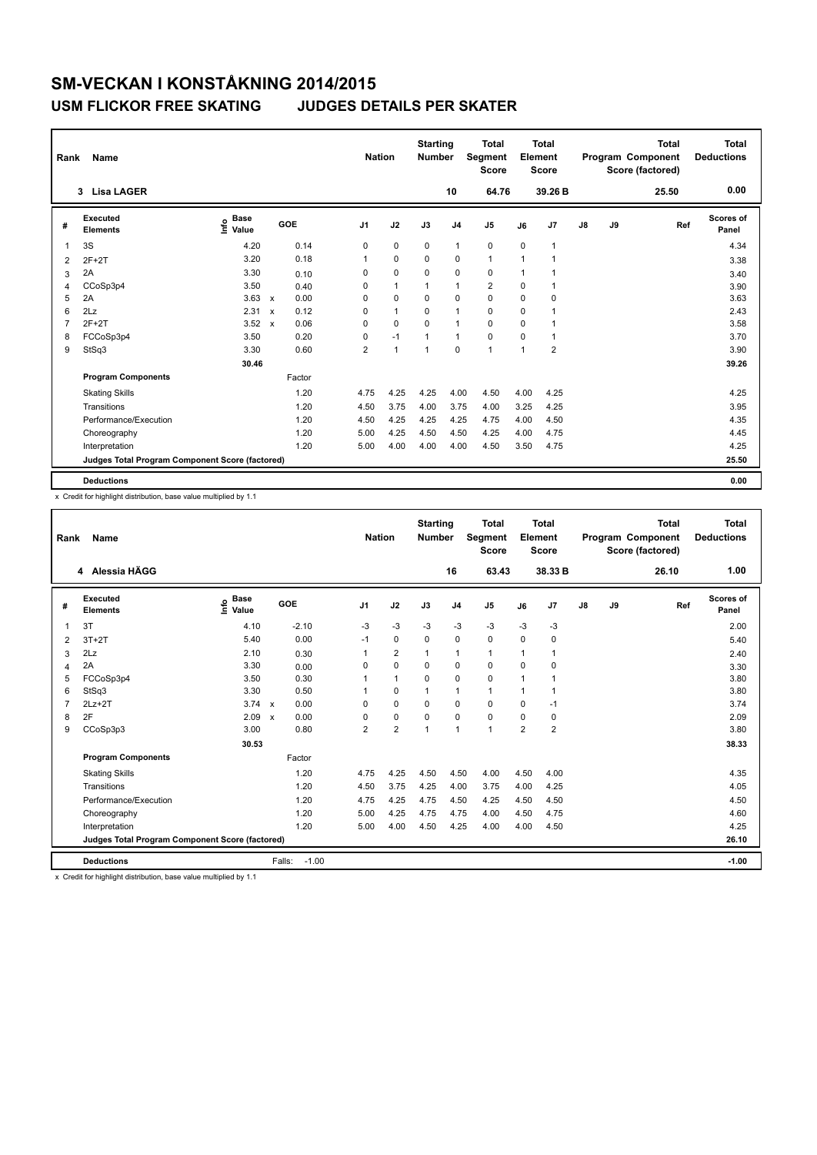| Rank         | Name                                            |                                  |              |            |                | <b>Nation</b>  | <b>Starting</b><br><b>Number</b> |                | <b>Total</b><br>Segment<br><b>Score</b> |                | <b>Total</b><br>Element<br><b>Score</b> |               |    | <b>Total</b><br>Program Component<br>Score (factored) | <b>Total</b><br><b>Deductions</b> |
|--------------|-------------------------------------------------|----------------------------------|--------------|------------|----------------|----------------|----------------------------------|----------------|-----------------------------------------|----------------|-----------------------------------------|---------------|----|-------------------------------------------------------|-----------------------------------|
|              | 3 Lisa LAGER                                    |                                  |              |            |                |                |                                  | 10             | 64.76                                   |                | 39.26 B                                 |               |    | 25.50                                                 | 0.00                              |
| #            | Executed<br><b>Elements</b>                     | <b>Base</b><br>e Base<br>⊆ Value |              | <b>GOE</b> | J <sub>1</sub> | J2             | J3                               | J <sub>4</sub> | J <sub>5</sub>                          | J6             | J7                                      | $\mathsf{J}8$ | J9 | Ref                                                   | <b>Scores of</b><br>Panel         |
| $\mathbf{1}$ | 3S                                              | 4.20                             |              | 0.14       | 0              | $\mathbf 0$    | 0                                | $\mathbf{1}$   | $\pmb{0}$                               | 0              | 1                                       |               |    |                                                       | 4.34                              |
| 2            | $2F+2T$                                         | 3.20                             |              | 0.18       |                | $\mathbf 0$    | $\Omega$                         | $\mathbf 0$    | $\mathbf{1}$                            | $\overline{1}$ |                                         |               |    |                                                       | 3.38                              |
| 3            | 2A                                              | 3.30                             |              | 0.10       | 0              | 0              | $\Omega$                         | 0              | 0                                       | -1             |                                         |               |    |                                                       | 3.40                              |
| 4            | CCoSp3p4                                        | 3.50                             |              | 0.40       | 0              | $\mathbf{1}$   | $\overline{1}$                   | $\mathbf{1}$   | $\overline{2}$                          | 0              |                                         |               |    |                                                       | 3.90                              |
| 5            | 2A                                              | 3.63                             | $\mathsf{x}$ | 0.00       | 0              | $\mathbf 0$    | $\mathbf 0$                      | $\mathbf 0$    | $\mathbf 0$                             | $\mathbf 0$    | $\mathbf 0$                             |               |    |                                                       | 3.63                              |
| 6            | 2Lz                                             | 2.31                             | $\mathbf{x}$ | 0.12       | 0              | $\overline{1}$ | $\Omega$                         | $\overline{1}$ | $\mathbf 0$                             | $\Omega$       |                                         |               |    |                                                       | 2.43                              |
| 7            | $2F+2T$                                         | 3.52                             | $\mathbf{x}$ | 0.06       | 0              | $\mathbf 0$    | $\Omega$                         | $\overline{1}$ | $\mathbf 0$                             | $\Omega$       |                                         |               |    |                                                       | 3.58                              |
| 8            | FCCoSp3p4                                       | 3.50                             |              | 0.20       | 0              | $-1$           | $\overline{1}$                   | $\overline{1}$ | $\pmb{0}$                               | $\mathbf 0$    |                                         |               |    |                                                       | 3.70                              |
| 9            | StSq3                                           | 3.30                             |              | 0.60       | $\overline{2}$ | $\overline{1}$ | $\overline{1}$                   | 0              | $\overline{1}$                          | $\overline{1}$ | $\overline{2}$                          |               |    |                                                       | 3.90                              |
|              |                                                 | 30.46                            |              |            |                |                |                                  |                |                                         |                |                                         |               |    |                                                       | 39.26                             |
|              | <b>Program Components</b>                       |                                  |              | Factor     |                |                |                                  |                |                                         |                |                                         |               |    |                                                       |                                   |
|              | <b>Skating Skills</b>                           |                                  |              | 1.20       | 4.75           | 4.25           | 4.25                             | 4.00           | 4.50                                    | 4.00           | 4.25                                    |               |    |                                                       | 4.25                              |
|              | Transitions                                     |                                  |              | 1.20       | 4.50           | 3.75           | 4.00                             | 3.75           | 4.00                                    | 3.25           | 4.25                                    |               |    |                                                       | 3.95                              |
|              | Performance/Execution                           |                                  |              | 1.20       | 4.50           | 4.25           | 4.25                             | 4.25           | 4.75                                    | 4.00           | 4.50                                    |               |    |                                                       | 4.35                              |
|              | Choreography                                    |                                  |              | 1.20       | 5.00           | 4.25           | 4.50                             | 4.50           | 4.25                                    | 4.00           | 4.75                                    |               |    |                                                       | 4.45                              |
|              | Interpretation                                  |                                  |              | 1.20       | 5.00           | 4.00           | 4.00                             | 4.00           | 4.50                                    | 3.50           | 4.75                                    |               |    |                                                       | 4.25                              |
|              | Judges Total Program Component Score (factored) |                                  |              |            |                |                |                                  |                |                                         |                |                                         |               |    |                                                       | 25.50                             |
|              | <b>Deductions</b>                               |                                  |              |            |                |                |                                  |                |                                         |                |                                         |               |    |                                                       | 0.00                              |

x Credit for highlight distribution, base value multiplied by 1.1

| Rank           | Name                                            |                                  |                           |         | <b>Nation</b>  |                | <b>Starting</b><br><b>Number</b> |                | Total<br>Segment<br><b>Score</b> |                | Total<br>Element<br><b>Score</b> |    |    | <b>Total</b><br>Program Component<br>Score (factored) | Total<br><b>Deductions</b> |
|----------------|-------------------------------------------------|----------------------------------|---------------------------|---------|----------------|----------------|----------------------------------|----------------|----------------------------------|----------------|----------------------------------|----|----|-------------------------------------------------------|----------------------------|
|                | 4 Alessia HÄGG                                  |                                  |                           |         |                |                |                                  | 16             | 63.43                            |                | 38.33 B                          |    |    | 26.10                                                 | 1.00                       |
| #              | Executed<br><b>Elements</b>                     | <b>Base</b><br>e Base<br>⊆ Value | GOE                       |         | J <sub>1</sub> | J2             | J3                               | J <sub>4</sub> | J <sub>5</sub>                   | J6             | J7                               | J8 | J9 | Ref                                                   | <b>Scores of</b><br>Panel  |
| $\mathbf 1$    | 3T                                              | 4.10                             |                           | $-2.10$ | $-3$           | $-3$           | $-3$                             | $-3$           | $-3$                             | $-3$           | $-3$                             |    |    |                                                       | 2.00                       |
| 2              | $3T+2T$                                         | 5.40                             |                           | 0.00    | $-1$           | $\mathbf 0$    | $\mathbf 0$                      | $\mathbf 0$    | $\mathbf 0$                      | $\mathbf 0$    | 0                                |    |    |                                                       | 5.40                       |
| 3              | 2Lz                                             | 2.10                             |                           | 0.30    |                | $\overline{2}$ | $\mathbf{1}$                     | $\mathbf{1}$   | 1                                | 1              | $\mathbf{1}$                     |    |    |                                                       | 2.40                       |
| 4              | 2A                                              | 3.30                             |                           | 0.00    | $\Omega$       | $\Omega$       | $\Omega$                         | $\mathbf 0$    | $\Omega$                         | 0              | 0                                |    |    |                                                       | 3.30                       |
| 5              | FCCoSp3p4                                       | 3.50                             |                           | 0.30    |                | $\mathbf{1}$   | $\mathbf 0$                      | $\mathbf 0$    | $\mathbf 0$                      | 1              | 1                                |    |    |                                                       | 3.80                       |
| 6              | StSq3                                           | 3.30                             |                           | 0.50    |                | $\mathbf 0$    | $\mathbf{1}$                     | $\mathbf{1}$   | $\mathbf{1}$                     | 1              | 1                                |    |    |                                                       | 3.80                       |
| $\overline{7}$ | $2Lz+2T$                                        | 3.74                             | $\mathsf{x}$              | 0.00    | 0              | $\mathbf 0$    | $\mathbf 0$                      | $\mathbf 0$    | $\mathbf 0$                      | 0              | $-1$                             |    |    |                                                       | 3.74                       |
| 8              | 2F                                              | 2.09                             | $\boldsymbol{\mathsf{x}}$ | 0.00    | $\Omega$       | $\mathbf 0$    | $\Omega$                         | $\mathbf 0$    | $\mathbf 0$                      | $\Omega$       | 0                                |    |    |                                                       | 2.09                       |
| 9              | CCoSp3p3                                        | 3.00                             |                           | 0.80    | $\overline{2}$ | $\overline{2}$ | $\overline{1}$                   | $\mathbf{1}$   | 1                                | $\overline{2}$ | $\overline{2}$                   |    |    |                                                       | 3.80                       |
|                |                                                 | 30.53                            |                           |         |                |                |                                  |                |                                  |                |                                  |    |    |                                                       | 38.33                      |
|                | <b>Program Components</b>                       |                                  |                           | Factor  |                |                |                                  |                |                                  |                |                                  |    |    |                                                       |                            |
|                | <b>Skating Skills</b>                           |                                  |                           | 1.20    | 4.75           | 4.25           | 4.50                             | 4.50           | 4.00                             | 4.50           | 4.00                             |    |    |                                                       | 4.35                       |
|                | Transitions                                     |                                  |                           | 1.20    | 4.50           | 3.75           | 4.25                             | 4.00           | 3.75                             | 4.00           | 4.25                             |    |    |                                                       | 4.05                       |
|                | Performance/Execution                           |                                  |                           | 1.20    | 4.75           | 4.25           | 4.75                             | 4.50           | 4.25                             | 4.50           | 4.50                             |    |    |                                                       | 4.50                       |
|                | Choreography                                    |                                  |                           | 1.20    | 5.00           | 4.25           | 4.75                             | 4.75           | 4.00                             | 4.50           | 4.75                             |    |    |                                                       | 4.60                       |
|                | Interpretation                                  |                                  |                           | 1.20    | 5.00           | 4.00           | 4.50                             | 4.25           | 4.00                             | 4.00           | 4.50                             |    |    |                                                       | 4.25                       |
|                | Judges Total Program Component Score (factored) |                                  |                           |         |                |                |                                  |                |                                  |                |                                  |    |    |                                                       | 26.10                      |
|                | <b>Deductions</b>                               |                                  | Falls:                    | $-1.00$ |                |                |                                  |                |                                  |                |                                  |    |    |                                                       | $-1.00$                    |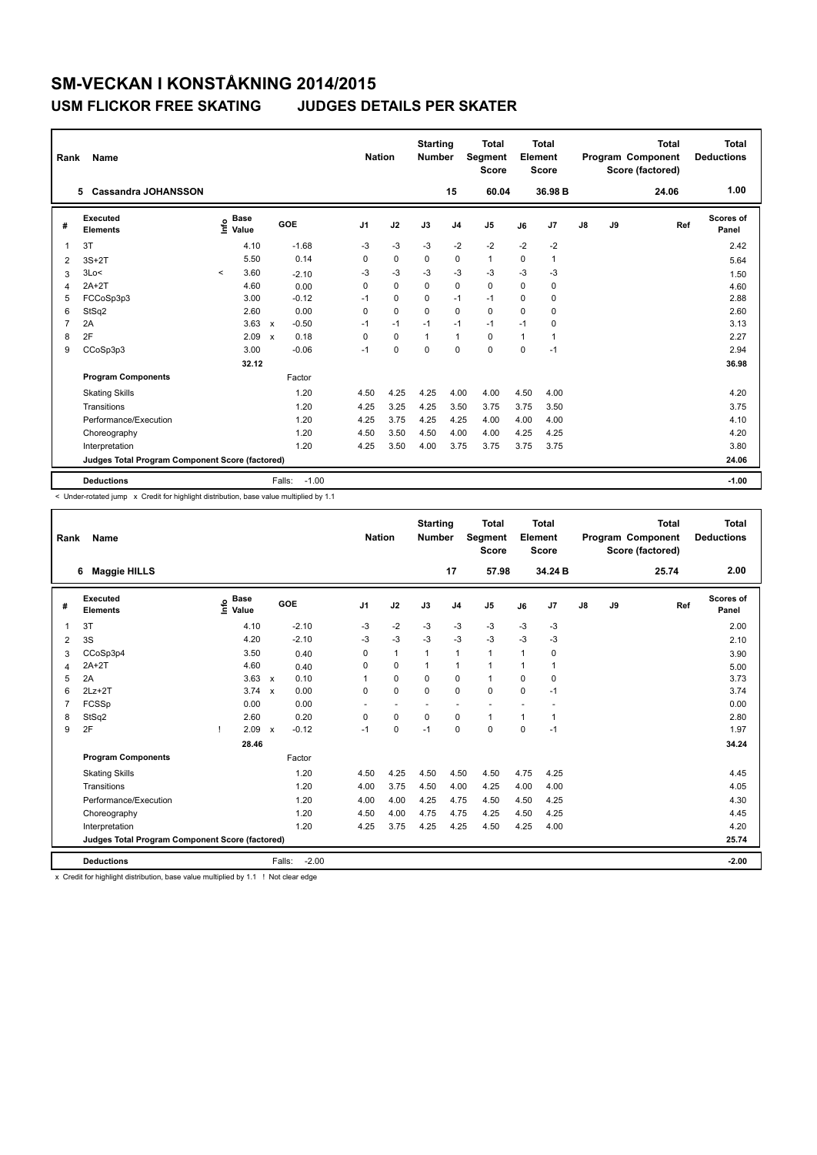| Rank           | Name                                            |         |                                    |              |                   | <b>Nation</b>  |             | <b>Starting</b><br><b>Number</b> |                | Total<br>Segment<br><b>Score</b> |          | Total<br>Element<br><b>Score</b> |               |    | <b>Total</b><br><b>Program Component</b><br>Score (factored) | Total<br><b>Deductions</b> |
|----------------|-------------------------------------------------|---------|------------------------------------|--------------|-------------------|----------------|-------------|----------------------------------|----------------|----------------------------------|----------|----------------------------------|---------------|----|--------------------------------------------------------------|----------------------------|
|                | <b>Cassandra JOHANSSON</b><br>5                 |         |                                    |              |                   |                |             |                                  | 15             | 60.04                            |          | 36.98 B                          |               |    | 24.06                                                        | 1.00                       |
| #              | Executed<br><b>Elements</b>                     |         | <b>Base</b><br>$\frac{6}{5}$ Value |              | GOE               | J <sub>1</sub> | J2          | J3                               | J <sub>4</sub> | J <sub>5</sub>                   | J6       | J7                               | $\mathsf{J}8$ | J9 | Ref                                                          | Scores of<br>Panel         |
| 1              | 3T                                              |         | 4.10                               |              | $-1.68$           | $-3$           | $-3$        | $-3$                             | $-2$           | $-2$                             | $-2$     | $-2$                             |               |    |                                                              | 2.42                       |
| $\overline{2}$ | $3S+2T$                                         |         | 5.50                               |              | 0.14              | 0              | $\mathbf 0$ | $\mathbf 0$                      | $\mathbf 0$    | $\mathbf{1}$                     | $\Omega$ |                                  |               |    |                                                              | 5.64                       |
| 3              | 3Lo<                                            | $\prec$ | 3.60                               |              | $-2.10$           | $-3$           | $-3$        | $-3$                             | $-3$           | $-3$                             | $-3$     | $-3$                             |               |    |                                                              | 1.50                       |
| $\overline{4}$ | $2A+2T$                                         |         | 4.60                               |              | 0.00              | 0              | $\Omega$    | $\Omega$                         | $\mathbf 0$    | $\mathbf 0$                      | $\Omega$ | 0                                |               |    |                                                              | 4.60                       |
| 5              | FCCoSp3p3                                       |         | 3.00                               |              | $-0.12$           | -1             | $\mathbf 0$ | $\Omega$                         | $-1$           | $-1$                             | $\Omega$ | 0                                |               |    |                                                              | 2.88                       |
| 6              | StSq2                                           |         | 2.60                               |              | 0.00              | 0              | $\Omega$    | $\Omega$                         | $\Omega$       | $\Omega$                         | $\Omega$ | $\Omega$                         |               |    |                                                              | 2.60                       |
| 7              | 2A                                              |         | 3.63                               | $\mathsf{x}$ | $-0.50$           | $-1$           | $-1$        | $-1$                             | $-1$           | $-1$                             | $-1$     | $\Omega$                         |               |    |                                                              | 3.13                       |
| 8              | 2F                                              |         | 2.09                               | $\mathbf x$  | 0.18              | 0              | $\mathbf 0$ | $\overline{1}$                   | $\overline{1}$ | $\mathbf 0$                      | 1        |                                  |               |    |                                                              | 2.27                       |
| 9              | CCoSp3p3                                        |         | 3.00                               |              | $-0.06$           | $-1$           | $\mathbf 0$ | $\Omega$                         | $\mathbf 0$    | $\mathbf 0$                      | $\Omega$ | $-1$                             |               |    |                                                              | 2.94                       |
|                |                                                 |         | 32.12                              |              |                   |                |             |                                  |                |                                  |          |                                  |               |    |                                                              | 36.98                      |
|                | <b>Program Components</b>                       |         |                                    |              | Factor            |                |             |                                  |                |                                  |          |                                  |               |    |                                                              |                            |
|                | <b>Skating Skills</b>                           |         |                                    |              | 1.20              | 4.50           | 4.25        | 4.25                             | 4.00           | 4.00                             | 4.50     | 4.00                             |               |    |                                                              | 4.20                       |
|                | Transitions                                     |         |                                    |              | 1.20              | 4.25           | 3.25        | 4.25                             | 3.50           | 3.75                             | 3.75     | 3.50                             |               |    |                                                              | 3.75                       |
|                | Performance/Execution                           |         |                                    |              | 1.20              | 4.25           | 3.75        | 4.25                             | 4.25           | 4.00                             | 4.00     | 4.00                             |               |    |                                                              | 4.10                       |
|                | Choreography                                    |         |                                    |              | 1.20              | 4.50           | 3.50        | 4.50                             | 4.00           | 4.00                             | 4.25     | 4.25                             |               |    |                                                              | 4.20                       |
|                | Interpretation                                  |         |                                    |              | 1.20              | 4.25           | 3.50        | 4.00                             | 3.75           | 3.75                             | 3.75     | 3.75                             |               |    |                                                              | 3.80                       |
|                | Judges Total Program Component Score (factored) |         |                                    |              |                   |                |             |                                  |                |                                  |          |                                  |               |    |                                                              | 24.06                      |
|                | <b>Deductions</b>                               |         |                                    |              | $-1.00$<br>Falls: |                |             |                                  |                |                                  |          |                                  |               |    |                                                              | $-1.00$                    |

< Under-rotated jump x Credit for highlight distribution, base value multiplied by 1.1

| Rank           | Name                                            |                              |                                   | <b>Nation</b>  |                          | <b>Starting</b><br><b>Number</b> |                | <b>Total</b><br>Segment<br><b>Score</b> |      | <b>Total</b><br>Element<br><b>Score</b> |    |    | <b>Total</b><br>Program Component<br>Score (factored) | <b>Total</b><br><b>Deductions</b> |
|----------------|-------------------------------------------------|------------------------------|-----------------------------------|----------------|--------------------------|----------------------------------|----------------|-----------------------------------------|------|-----------------------------------------|----|----|-------------------------------------------------------|-----------------------------------|
|                | <b>Maggie HILLS</b><br>6                        |                              |                                   |                |                          |                                  | 17             | 57.98                                   |      | 34.24 B                                 |    |    | 25.74                                                 | 2.00                              |
| #              | Executed<br><b>Elements</b>                     | <b>Base</b><br>lnfo<br>Value | GOE                               | J <sub>1</sub> | J2                       | J3                               | J <sub>4</sub> | J <sub>5</sub>                          | J6   | J <sub>7</sub>                          | J8 | J9 | Ref                                                   | <b>Scores of</b><br>Panel         |
| 1              | 3T                                              | 4.10                         | $-2.10$                           | $-3$           | $-2$                     | $-3$                             | $-3$           | $-3$                                    | $-3$ | $-3$                                    |    |    |                                                       | 2.00                              |
| 2              | 3S                                              | 4.20                         | $-2.10$                           | $-3$           | $-3$                     | $-3$                             | $-3$           | $-3$                                    | $-3$ | $-3$                                    |    |    |                                                       | 2.10                              |
| 3              | CCoSp3p4                                        | 3.50                         | 0.40                              | $\Omega$       | $\mathbf{1}$             | 1                                | $\mathbf{1}$   | $\mathbf{1}$                            | 1    | 0                                       |    |    |                                                       | 3.90                              |
| 4              | $2A+2T$                                         | 4.60                         | 0.40                              | 0              | $\mathbf 0$              | 1                                | $\mathbf{1}$   | $\mathbf{1}$                            | 1    | 1                                       |    |    |                                                       | 5.00                              |
| 5              | 2A                                              | 3.63                         | 0.10<br>$\mathsf{x}$              | 1              | $\mathbf 0$              | $\mathbf 0$                      | 0              | $\mathbf{1}$                            | 0    | 0                                       |    |    |                                                       | 3.73                              |
| 6              | $2Lz+2T$                                        | 3.74                         | 0.00<br>$\boldsymbol{\mathsf{x}}$ | $\Omega$       | $\mathbf 0$              | $\Omega$                         | $\Omega$       | $\Omega$                                | 0    | $-1$                                    |    |    |                                                       | 3.74                              |
| $\overline{7}$ | <b>FCSSp</b>                                    | 0.00                         | 0.00                              | ÷              | $\overline{\phantom{a}}$ |                                  | ٠              |                                         |      |                                         |    |    |                                                       | 0.00                              |
| 8              | StSq2                                           | 2.60                         | 0.20                              | $\Omega$       | $\Omega$                 | $\Omega$                         | 0              | $\mathbf{1}$                            | 1    | 1                                       |    |    |                                                       | 2.80                              |
| 9              | 2F                                              | 2.09                         | $-0.12$<br>$\mathbf x$            | $-1$           | $\Omega$                 | $-1$                             | $\Omega$       | $\Omega$                                | 0    | $-1$                                    |    |    |                                                       | 1.97                              |
|                |                                                 | 28.46                        |                                   |                |                          |                                  |                |                                         |      |                                         |    |    |                                                       | 34.24                             |
|                | <b>Program Components</b>                       |                              | Factor                            |                |                          |                                  |                |                                         |      |                                         |    |    |                                                       |                                   |
|                | <b>Skating Skills</b>                           |                              | 1.20                              | 4.50           | 4.25                     | 4.50                             | 4.50           | 4.50                                    | 4.75 | 4.25                                    |    |    |                                                       | 4.45                              |
|                | Transitions                                     |                              | 1.20                              | 4.00           | 3.75                     | 4.50                             | 4.00           | 4.25                                    | 4.00 | 4.00                                    |    |    |                                                       | 4.05                              |
|                | Performance/Execution                           |                              | 1.20                              | 4.00           | 4.00                     | 4.25                             | 4.75           | 4.50                                    | 4.50 | 4.25                                    |    |    |                                                       | 4.30                              |
|                | Choreography                                    |                              | 1.20                              | 4.50           | 4.00                     | 4.75                             | 4.75           | 4.25                                    | 4.50 | 4.25                                    |    |    |                                                       | 4.45                              |
|                | Interpretation                                  |                              | 1.20                              | 4.25           | 3.75                     | 4.25                             | 4.25           | 4.50                                    | 4.25 | 4.00                                    |    |    |                                                       | 4.20                              |
|                | Judges Total Program Component Score (factored) |                              |                                   |                |                          |                                  |                |                                         |      |                                         |    |    |                                                       | 25.74                             |
|                | <b>Deductions</b>                               |                              | $-2.00$<br>Falls:                 |                |                          |                                  |                |                                         |      |                                         |    |    |                                                       | $-2.00$                           |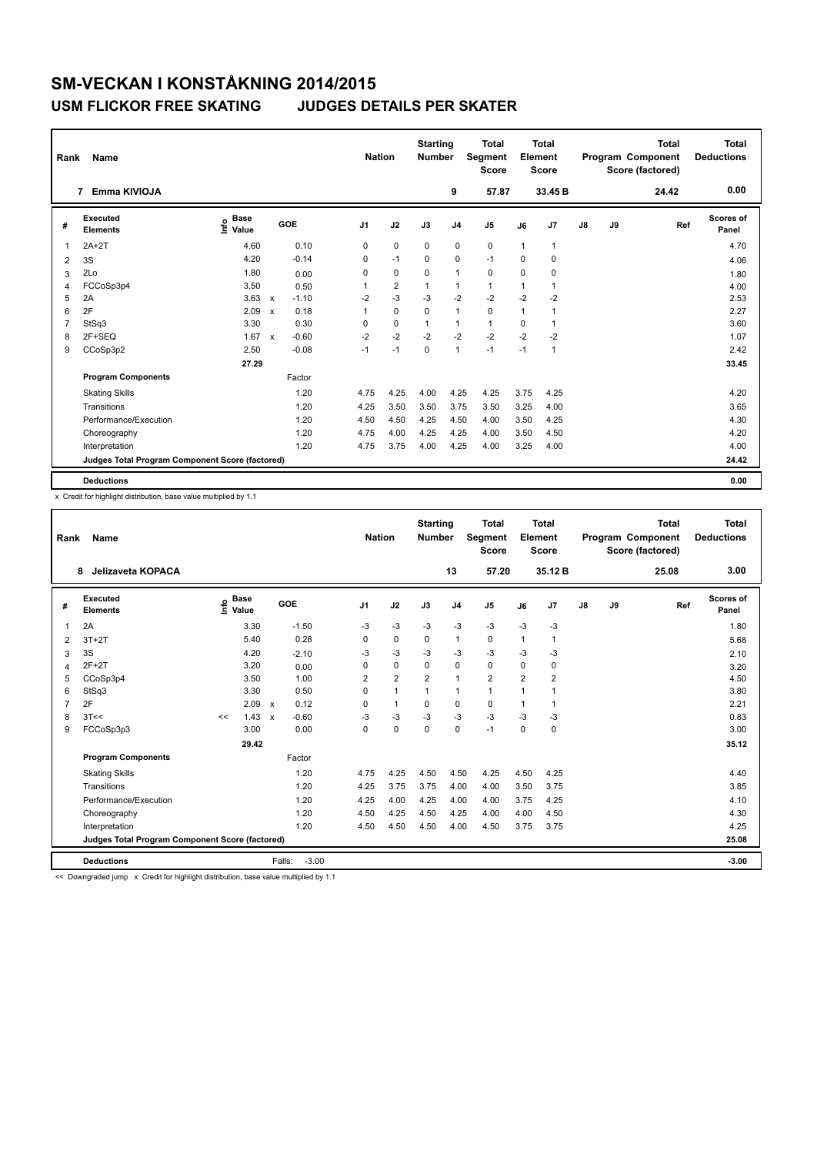| Rank           | Name                                            |                              |                           |         |                | <b>Nation</b> |                | <b>Starting</b><br><b>Number</b> |                | <b>Total</b><br>Segment<br><b>Score</b> |              | <b>Total</b><br>Element<br><b>Score</b> |               |    | <b>Total</b><br>Program Component<br>Score (factored) | <b>Total</b><br><b>Deductions</b> |
|----------------|-------------------------------------------------|------------------------------|---------------------------|---------|----------------|---------------|----------------|----------------------------------|----------------|-----------------------------------------|--------------|-----------------------------------------|---------------|----|-------------------------------------------------------|-----------------------------------|
|                | Emma KIVIOJA<br>7                               |                              |                           |         |                |               |                |                                  | 9              | 57.87                                   |              | 33.45 B                                 |               |    | 24.42                                                 | 0.00                              |
| #              | Executed<br><b>Elements</b>                     | <b>Base</b><br>lnfo<br>Value |                           | GOE     | J <sub>1</sub> |               | J2             | J3                               | J <sub>4</sub> | J <sub>5</sub>                          | J6           | J7                                      | $\mathsf{J}8$ | J9 | Ref                                                   | <b>Scores of</b><br>Panel         |
| $\mathbf{1}$   | $2A+2T$                                         | 4.60                         |                           | 0.10    | 0              |               | 0              | 0                                | 0              | 0                                       | $\mathbf{1}$ | 1                                       |               |    |                                                       | 4.70                              |
| 2              | 3S                                              | 4.20                         |                           | $-0.14$ | 0              |               | $-1$           | $\Omega$                         | 0              | $-1$                                    | $\mathbf 0$  | $\mathbf 0$                             |               |    |                                                       | 4.06                              |
| 3              | 2Lo                                             | 1.80                         |                           | 0.00    | 0              |               | 0              | $\mathbf 0$                      | $\overline{1}$ | $\mathbf 0$                             | $\Omega$     | $\mathbf 0$                             |               |    |                                                       | 1.80                              |
| $\overline{4}$ | FCCoSp3p4                                       | 3.50                         |                           | 0.50    |                |               | $\overline{2}$ | $\overline{1}$                   | $\mathbf{1}$   | $\mathbf{1}$                            | 1            |                                         |               |    |                                                       | 4.00                              |
| 5              | 2A                                              | 3.63                         | $\mathsf{x}$              | $-1.10$ | $-2$           |               | $-3$           | $-3$                             | $-2$           | $-2$                                    | $-2$         | $-2$                                    |               |    |                                                       | 2.53                              |
| 6              | 2F                                              | 2.09                         | $\boldsymbol{\mathsf{x}}$ | 0.18    | 1              |               | $\mathbf 0$    | $\Omega$                         | $\mathbf{1}$   | $\mathbf 0$                             | $\mathbf{1}$ | 1                                       |               |    |                                                       | 2.27                              |
| $\overline{7}$ | StSq3                                           | 3.30                         |                           | 0.30    | 0              |               | $\mathbf 0$    | $\mathbf{1}$                     | $\mathbf{1}$   | $\mathbf{1}$                            | 0            |                                         |               |    |                                                       | 3.60                              |
| 8              | 2F+SEQ                                          | 1.67                         | $\mathsf{x}$              | $-0.60$ | $-2$           |               | $-2$           | $-2$                             | $-2$           | $-2$                                    | $-2$         | $-2$                                    |               |    |                                                       | 1.07                              |
| 9              | CCoSp3p2                                        | 2.50                         |                           | $-0.08$ | $-1$           |               | $-1$           | 0                                | $\overline{1}$ | $-1$                                    | $-1$         | 1                                       |               |    |                                                       | 2.42                              |
|                |                                                 | 27.29                        |                           |         |                |               |                |                                  |                |                                         |              |                                         |               |    |                                                       | 33.45                             |
|                | <b>Program Components</b>                       |                              |                           | Factor  |                |               |                |                                  |                |                                         |              |                                         |               |    |                                                       |                                   |
|                | <b>Skating Skills</b>                           |                              |                           | 1.20    | 4.75           |               | 4.25           | 4.00                             | 4.25           | 4.25                                    | 3.75         | 4.25                                    |               |    |                                                       | 4.20                              |
|                | Transitions                                     |                              |                           | 1.20    | 4.25           |               | 3.50           | 3.50                             | 3.75           | 3.50                                    | 3.25         | 4.00                                    |               |    |                                                       | 3.65                              |
|                | Performance/Execution                           |                              |                           | 1.20    | 4.50           |               | 4.50           | 4.25                             | 4.50           | 4.00                                    | 3.50         | 4.25                                    |               |    |                                                       | 4.30                              |
|                | Choreography                                    |                              |                           | 1.20    | 4.75           |               | 4.00           | 4.25                             | 4.25           | 4.00                                    | 3.50         | 4.50                                    |               |    |                                                       | 4.20                              |
|                | Interpretation                                  |                              |                           | 1.20    | 4.75           |               | 3.75           | 4.00                             | 4.25           | 4.00                                    | 3.25         | 4.00                                    |               |    |                                                       | 4.00                              |
|                | Judges Total Program Component Score (factored) |                              |                           |         |                |               |                |                                  |                |                                         |              |                                         |               |    |                                                       | 24.42                             |
|                | <b>Deductions</b>                               |                              |                           |         |                |               |                |                                  |                |                                         |              |                                         |               |    |                                                       | 0.00                              |

x Credit for highlight distribution, base value multiplied by 1.1

| Rank           | Name                                            |    |                                  |                           |         | <b>Nation</b>  |                | <b>Starting</b><br><b>Number</b> |                | <b>Total</b><br>Segment<br><b>Score</b> |                | Total<br>Element<br><b>Score</b> |               |    | <b>Total</b><br>Program Component<br>Score (factored) | Total<br><b>Deductions</b> |
|----------------|-------------------------------------------------|----|----------------------------------|---------------------------|---------|----------------|----------------|----------------------------------|----------------|-----------------------------------------|----------------|----------------------------------|---------------|----|-------------------------------------------------------|----------------------------|
|                | Jelizaveta KOPACA<br>8                          |    |                                  |                           |         |                |                |                                  | 13             | 57.20                                   |                | 35.12B                           |               |    | 25.08                                                 | 3.00                       |
| #              | Executed<br><b>Elements</b>                     |    | <b>Base</b><br>e Base<br>⊆ Value |                           | GOE     | J <sub>1</sub> | J2             | J3                               | J <sub>4</sub> | J <sub>5</sub>                          | J6             | J7                               | $\mathsf{J}8$ | J9 | Ref                                                   | Scores of<br>Panel         |
| $\overline{1}$ | 2A                                              |    | 3.30                             |                           | $-1.50$ | $-3$           | $-3$           | $-3$                             | $-3$           | $-3$                                    | $-3$           | $-3$                             |               |    |                                                       | 1.80                       |
| 2              | $3T+2T$                                         |    | 5.40                             |                           | 0.28    | 0              | $\mathbf 0$    | 0                                | $\mathbf{1}$   | $\mathbf 0$                             | 1              | 1                                |               |    |                                                       | 5.68                       |
| 3              | 3S                                              |    | 4.20                             |                           | $-2.10$ | -3             | $-3$           | $-3$                             | $-3$           | $-3$                                    | $-3$           | $-3$                             |               |    |                                                       | 2.10                       |
| $\overline{4}$ | $2F+2T$                                         |    | 3.20                             |                           | 0.00    | $\Omega$       | $\mathbf 0$    | $\Omega$                         | $\mathbf 0$    | $\Omega$                                | $\Omega$       | $\mathbf 0$                      |               |    |                                                       | 3.20                       |
| 5              | CCoSp3p4                                        |    | 3.50                             |                           | 1.00    | $\overline{2}$ | $\overline{2}$ | $\overline{2}$                   | $\mathbf{1}$   | $\overline{2}$                          | $\overline{2}$ | $\overline{2}$                   |               |    |                                                       | 4.50                       |
| 6              | StSq3                                           |    | 3.30                             |                           | 0.50    | 0              | $\mathbf{1}$   | $\mathbf{1}$                     | $\mathbf{1}$   | $\mathbf{1}$                            | 1              | 1                                |               |    |                                                       | 3.80                       |
| $\overline{7}$ | 2F                                              |    | 2.09                             | $\boldsymbol{\mathsf{x}}$ | 0.12    | $\Omega$       | $\mathbf{1}$   | $\Omega$                         | $\mathbf 0$    | $\Omega$                                | 1              | $\mathbf{1}$                     |               |    |                                                       | 2.21                       |
| 8              | 3T<<                                            | << | 1.43                             | $\boldsymbol{\mathsf{x}}$ | $-0.60$ | $-3$           | $-3$           | $-3$                             | $-3$           | $-3$                                    | $-3$           | $-3$                             |               |    |                                                       | 0.83                       |
| 9              | FCCoSp3p3                                       |    | 3.00                             |                           | 0.00    | 0              | $\mathbf 0$    | $\mathbf 0$                      | $\mathbf 0$    | $-1$                                    | $\mathbf 0$    | 0                                |               |    |                                                       | 3.00                       |
|                |                                                 |    | 29.42                            |                           |         |                |                |                                  |                |                                         |                |                                  |               |    |                                                       | 35.12                      |
|                | <b>Program Components</b>                       |    |                                  |                           | Factor  |                |                |                                  |                |                                         |                |                                  |               |    |                                                       |                            |
|                | <b>Skating Skills</b>                           |    |                                  |                           | 1.20    | 4.75           | 4.25           | 4.50                             | 4.50           | 4.25                                    | 4.50           | 4.25                             |               |    |                                                       | 4.40                       |
|                | Transitions                                     |    |                                  |                           | 1.20    | 4.25           | 3.75           | 3.75                             | 4.00           | 4.00                                    | 3.50           | 3.75                             |               |    |                                                       | 3.85                       |
|                | Performance/Execution                           |    |                                  |                           | 1.20    | 4.25           | 4.00           | 4.25                             | 4.00           | 4.00                                    | 3.75           | 4.25                             |               |    |                                                       | 4.10                       |
|                | Choreography                                    |    |                                  |                           | 1.20    | 4.50           | 4.25           | 4.50                             | 4.25           | 4.00                                    | 4.00           | 4.50                             |               |    |                                                       | 4.30                       |
|                | Interpretation                                  |    |                                  |                           | 1.20    | 4.50           | 4.50           | 4.50                             | 4.00           | 4.50                                    | 3.75           | 3.75                             |               |    |                                                       | 4.25                       |
|                | Judges Total Program Component Score (factored) |    |                                  |                           |         |                |                |                                  |                |                                         |                |                                  |               |    |                                                       | 25.08                      |
|                | <b>Deductions</b>                               |    |                                  | Falls:                    | $-3.00$ |                |                |                                  |                |                                         |                |                                  |               |    |                                                       | $-3.00$                    |

<< Downgraded jump x Credit for highlight distribution, base value multiplied by 1.1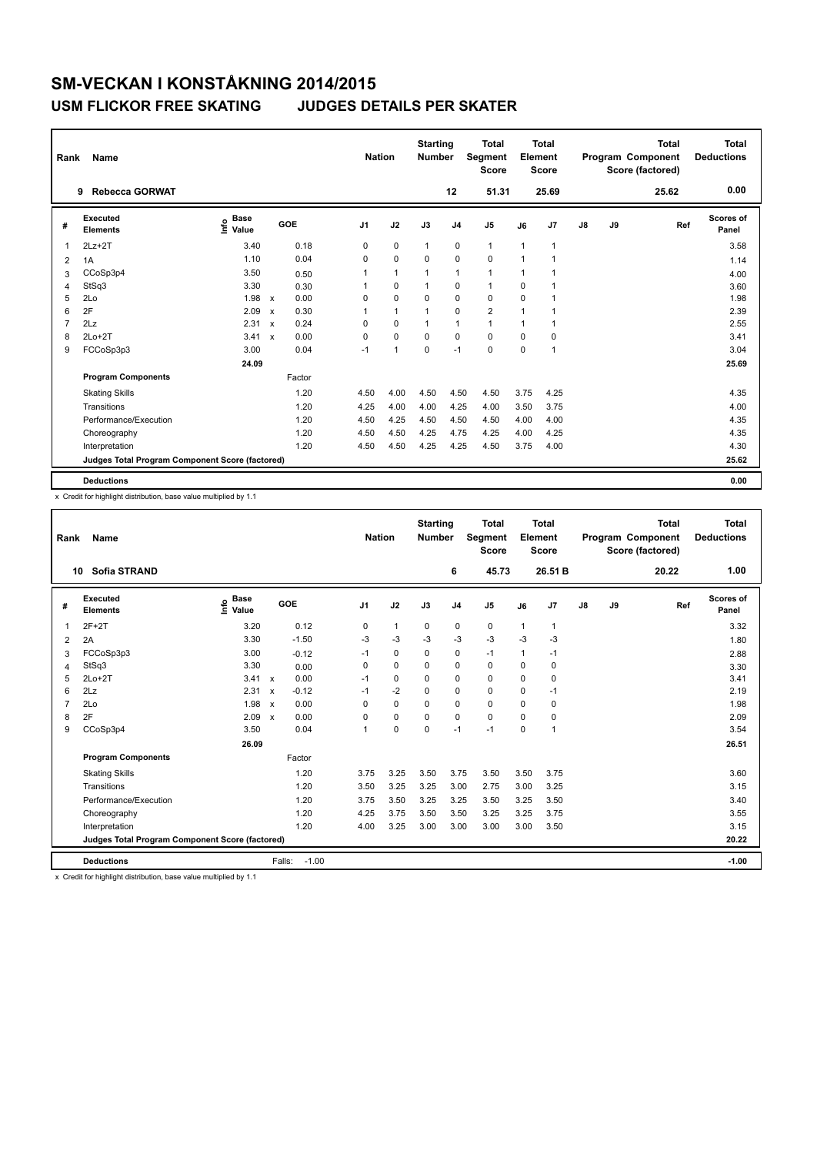| Rank           | Name                                            |                              |                           |        |                | <b>Nation</b>  | <b>Starting</b><br><b>Number</b> |                | <b>Total</b><br>Segment<br><b>Score</b> |              | <b>Total</b><br>Element<br><b>Score</b> |               |    | <b>Total</b><br>Program Component<br>Score (factored) | <b>Total</b><br><b>Deductions</b> |
|----------------|-------------------------------------------------|------------------------------|---------------------------|--------|----------------|----------------|----------------------------------|----------------|-----------------------------------------|--------------|-----------------------------------------|---------------|----|-------------------------------------------------------|-----------------------------------|
|                | <b>Rebecca GORWAT</b><br>9                      |                              |                           |        |                |                |                                  | 12             | 51.31                                   |              | 25.69                                   |               |    | 25.62                                                 | 0.00                              |
| #              | <b>Executed</b><br><b>Elements</b>              | <b>Base</b><br>١nf٥<br>Value |                           | GOE    | J <sub>1</sub> | J2             | J3                               | J <sub>4</sub> | J5                                      | J6           | J7                                      | $\mathsf{J}8$ | J9 | Ref                                                   | Scores of<br>Panel                |
| 1              | $2Lz+2T$                                        | 3.40                         |                           | 0.18   | 0              | $\mathbf 0$    | $\mathbf{1}$                     | $\pmb{0}$      | $\mathbf{1}$                            | $\mathbf{1}$ | $\mathbf{1}$                            |               |    |                                                       | 3.58                              |
| 2              | 1A                                              | 1.10                         |                           | 0.04   | 0              | $\mathbf 0$    | 0                                | 0              | 0                                       | $\mathbf{1}$ | 1                                       |               |    |                                                       | 1.14                              |
| 3              | CCoSp3p4                                        | 3.50                         |                           | 0.50   | 1              | $\overline{1}$ | 1                                | $\mathbf{1}$   | $\mathbf{1}$                            | $\mathbf{1}$ | 1                                       |               |    |                                                       | 4.00                              |
| 4              | StSq3                                           | 3.30                         |                           | 0.30   |                | $\mathbf 0$    | 1                                | 0              | $\mathbf{1}$                            | 0            |                                         |               |    |                                                       | 3.60                              |
| 5              | 2Lo                                             | 1.98                         | $\boldsymbol{\mathsf{x}}$ | 0.00   | 0              | $\mathbf 0$    | $\Omega$                         | 0              | 0                                       | 0            | 1                                       |               |    |                                                       | 1.98                              |
| 6              | 2F                                              | 2.09                         | $\boldsymbol{\mathsf{x}}$ | 0.30   | 1              | $\overline{1}$ | 1                                | $\mathbf 0$    | $\overline{2}$                          | $\mathbf{1}$ | $\mathbf 1$                             |               |    |                                                       | 2.39                              |
| $\overline{7}$ | 2Lz                                             | 2.31                         | $\boldsymbol{\mathsf{x}}$ | 0.24   | $\Omega$       | 0              | $\mathbf{1}$                     | $\overline{1}$ | $\mathbf{1}$                            | $\mathbf{1}$ | 1                                       |               |    |                                                       | 2.55                              |
| 8              | $2Lo+2T$                                        | 3.41                         | $\boldsymbol{\mathsf{x}}$ | 0.00   | 0              | $\mathbf 0$    | $\Omega$                         | 0              | $\mathbf 0$                             | 0            | 0                                       |               |    |                                                       | 3.41                              |
| 9              | FCCoSp3p3                                       | 3.00                         |                           | 0.04   | $-1$           | $\overline{1}$ | 0                                | $-1$           | 0                                       | $\Omega$     | 1                                       |               |    |                                                       | 3.04                              |
|                |                                                 | 24.09                        |                           |        |                |                |                                  |                |                                         |              |                                         |               |    |                                                       | 25.69                             |
|                | <b>Program Components</b>                       |                              |                           | Factor |                |                |                                  |                |                                         |              |                                         |               |    |                                                       |                                   |
|                | <b>Skating Skills</b>                           |                              |                           | 1.20   | 4.50           | 4.00           | 4.50                             | 4.50           | 4.50                                    | 3.75         | 4.25                                    |               |    |                                                       | 4.35                              |
|                | Transitions                                     |                              |                           | 1.20   | 4.25           | 4.00           | 4.00                             | 4.25           | 4.00                                    | 3.50         | 3.75                                    |               |    |                                                       | 4.00                              |
|                | Performance/Execution                           |                              |                           | 1.20   | 4.50           | 4.25           | 4.50                             | 4.50           | 4.50                                    | 4.00         | 4.00                                    |               |    |                                                       | 4.35                              |
|                | Choreography                                    |                              |                           | 1.20   | 4.50           | 4.50           | 4.25                             | 4.75           | 4.25                                    | 4.00         | 4.25                                    |               |    |                                                       | 4.35                              |
|                | Interpretation                                  |                              |                           | 1.20   | 4.50           | 4.50           | 4.25                             | 4.25           | 4.50                                    | 3.75         | 4.00                                    |               |    |                                                       | 4.30                              |
|                | Judges Total Program Component Score (factored) |                              |                           |        |                |                |                                  |                |                                         |              |                                         |               |    |                                                       | 25.62                             |
|                | <b>Deductions</b>                               |                              |                           |        |                |                |                                  |                |                                         |              |                                         |               |    |                                                       | 0.00                              |

x Credit for highlight distribution, base value multiplied by 1.1

| Rank           | Name                                            |                                  |                           |         | <b>Nation</b>  |              | <b>Starting</b><br><b>Number</b> |                | <b>Total</b><br>Segment<br><b>Score</b> |      | <b>Total</b><br>Element<br><b>Score</b> |               |    | <b>Total</b><br><b>Program Component</b><br>Score (factored) | <b>Total</b><br><b>Deductions</b> |
|----------------|-------------------------------------------------|----------------------------------|---------------------------|---------|----------------|--------------|----------------------------------|----------------|-----------------------------------------|------|-----------------------------------------|---------------|----|--------------------------------------------------------------|-----------------------------------|
|                | <b>Sofia STRAND</b><br>10                       |                                  |                           |         |                |              |                                  | 6              | 45.73                                   |      | 26.51 B                                 |               |    | 20.22                                                        | 1.00                              |
| #              | Executed<br><b>Elements</b>                     | <b>Base</b><br>e Base<br>⊆ Value |                           | GOE     | J <sub>1</sub> | J2           | J3                               | J <sub>4</sub> | J <sub>5</sub>                          | J6   | J7                                      | $\mathsf{J}8$ | J9 | Ref                                                          | <b>Scores of</b><br>Panel         |
| 1              | $2F+2T$                                         | 3.20                             |                           | 0.12    | 0              | $\mathbf{1}$ | 0                                | 0              | 0                                       | 1    | $\mathbf{1}$                            |               |    |                                                              | 3.32                              |
| $\overline{2}$ | 2A                                              | 3.30                             |                           | $-1.50$ | $-3$           | $-3$         | $-3$                             | $-3$           | $-3$                                    | $-3$ | $-3$                                    |               |    |                                                              | 1.80                              |
| 3              | FCCoSp3p3                                       | 3.00                             |                           | $-0.12$ | $-1$           | 0            | $\Omega$                         | 0              | $-1$                                    | 1    | $-1$                                    |               |    |                                                              | 2.88                              |
| 4              | StSq3                                           | 3.30                             |                           | 0.00    | 0              | 0            | $\Omega$                         | 0              | 0                                       | 0    | 0                                       |               |    |                                                              | 3.30                              |
| 5              | $2Lo+2T$                                        | 3.41                             | $\boldsymbol{\mathsf{x}}$ | 0.00    | $-1$           | $\mathbf 0$  | $\mathbf 0$                      | 0              | $\mathbf 0$                             | 0    | 0                                       |               |    |                                                              | 3.41                              |
| 6              | 2Lz                                             | 2.31                             | $\boldsymbol{\mathsf{x}}$ | $-0.12$ | $-1$           | $-2$         | 0                                | 0              | 0                                       | 0    | $-1$                                    |               |    |                                                              | 2.19                              |
| $\overline{7}$ | 2Lo                                             | 1.98                             | $\boldsymbol{\mathsf{x}}$ | 0.00    | 0              | $\mathbf 0$  | $\mathbf 0$                      | 0              | $\mathbf 0$                             | 0    | 0                                       |               |    |                                                              | 1.98                              |
| 8              | 2F                                              | 2.09                             | $\boldsymbol{\mathsf{x}}$ | 0.00    | $\Omega$       | $\Omega$     | $\Omega$                         | 0              | $\Omega$                                | 0    | 0                                       |               |    |                                                              | 2.09                              |
| 9              | CCoSp3p4                                        | 3.50                             |                           | 0.04    | 1              | $\mathbf 0$  | $\mathbf 0$                      | $-1$           | $-1$                                    | 0    | 1                                       |               |    |                                                              | 3.54                              |
|                |                                                 | 26.09                            |                           |         |                |              |                                  |                |                                         |      |                                         |               |    |                                                              | 26.51                             |
|                | <b>Program Components</b>                       |                                  |                           | Factor  |                |              |                                  |                |                                         |      |                                         |               |    |                                                              |                                   |
|                | <b>Skating Skills</b>                           |                                  |                           | 1.20    | 3.75           | 3.25         | 3.50                             | 3.75           | 3.50                                    | 3.50 | 3.75                                    |               |    |                                                              | 3.60                              |
|                | Transitions                                     |                                  |                           | 1.20    | 3.50           | 3.25         | 3.25                             | 3.00           | 2.75                                    | 3.00 | 3.25                                    |               |    |                                                              | 3.15                              |
|                | Performance/Execution                           |                                  |                           | 1.20    | 3.75           | 3.50         | 3.25                             | 3.25           | 3.50                                    | 3.25 | 3.50                                    |               |    |                                                              | 3.40                              |
|                | Choreography                                    |                                  |                           | 1.20    | 4.25           | 3.75         | 3.50                             | 3.50           | 3.25                                    | 3.25 | 3.75                                    |               |    |                                                              | 3.55                              |
|                | Interpretation                                  |                                  |                           | 1.20    | 4.00           | 3.25         | 3.00                             | 3.00           | 3.00                                    | 3.00 | 3.50                                    |               |    |                                                              | 3.15                              |
|                | Judges Total Program Component Score (factored) |                                  |                           |         |                |              |                                  |                |                                         |      |                                         |               |    |                                                              | 20.22                             |
|                | <b>Deductions</b>                               |                                  | Falls:                    | $-1.00$ |                |              |                                  |                |                                         |      |                                         |               |    |                                                              | $-1.00$                           |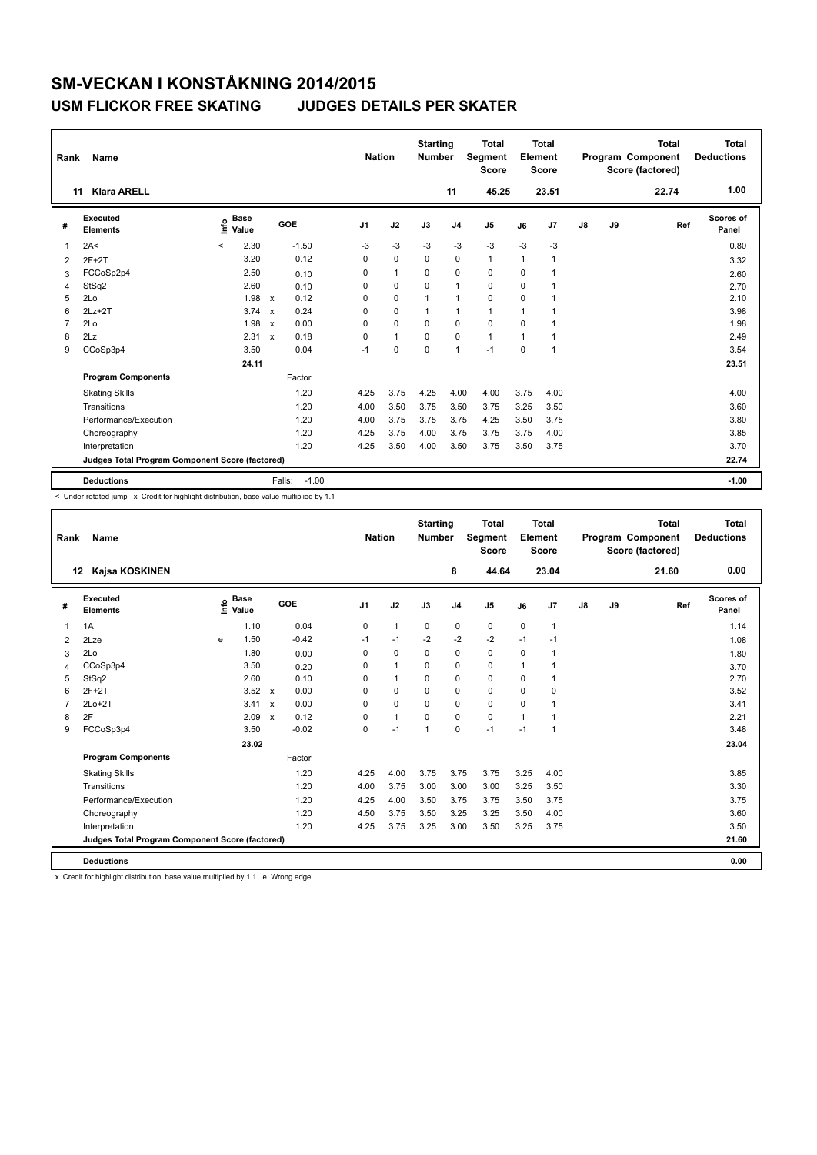| Rank           | Name                                            |         |                      |                      |                | <b>Nation</b> | <b>Starting</b><br><b>Number</b> |                | <b>Total</b><br>Segment<br><b>Score</b> |              | <b>Total</b><br>Element<br>Score |               |    | <b>Total</b><br>Program Component<br>Score (factored) | <b>Total</b><br><b>Deductions</b> |
|----------------|-------------------------------------------------|---------|----------------------|----------------------|----------------|---------------|----------------------------------|----------------|-----------------------------------------|--------------|----------------------------------|---------------|----|-------------------------------------------------------|-----------------------------------|
|                | <b>Klara ARELL</b><br>11                        |         |                      |                      |                |               |                                  | 11             | 45.25                                   |              | 23.51                            |               |    | 22.74                                                 | 1.00                              |
| #              | Executed<br><b>Elements</b>                     | ١nf٥    | <b>Base</b><br>Value | GOE                  | J <sub>1</sub> | J2            | J3                               | J <sub>4</sub> | J <sub>5</sub>                          | J6           | J7                               | $\mathsf{J}8$ | J9 | Ref                                                   | <b>Scores of</b><br>Panel         |
| 1              | 2A<                                             | $\prec$ | 2.30                 | $-1.50$              | $-3$           | $-3$          | $-3$                             | $-3$           | $-3$                                    | $-3$         | $-3$                             |               |    |                                                       | 0.80                              |
| 2              | $2F+2T$                                         |         | 3.20                 | 0.12                 | $\Omega$       | $\mathbf 0$   | $\Omega$                         | $\mathbf 0$    | $\mathbf{1}$                            | $\mathbf{1}$ | 1                                |               |    |                                                       | 3.32                              |
| 3              | FCCoSp2p4                                       |         | 2.50                 | 0.10                 | 0              | $\mathbf{1}$  | 0                                | 0              | 0                                       | 0            |                                  |               |    |                                                       | 2.60                              |
| $\overline{4}$ | StSq2                                           |         | 2.60                 | 0.10                 | 0              | $\mathbf 0$   | $\mathbf 0$                      | $\mathbf{1}$   | $\mathbf 0$                             | 0            |                                  |               |    |                                                       | 2.70                              |
| 5              | 2Lo                                             |         | 1.98                 | 0.12<br>$\mathsf{x}$ | $\Omega$       | $\mathbf 0$   | 1                                | $\mathbf{1}$   | 0                                       | $\mathbf 0$  | 1                                |               |    |                                                       | 2.10                              |
| 6              | $2Lz+2T$                                        |         | 3.74                 | 0.24<br>$\mathsf{x}$ | $\Omega$       | $\mathbf 0$   | $\mathbf{1}$                     | $\mathbf{1}$   | $\mathbf{1}$                            | 1            |                                  |               |    |                                                       | 3.98                              |
| $\overline{7}$ | 2Lo                                             |         | 1.98                 | 0.00<br>$\mathsf{x}$ | 0              | $\mathbf 0$   | $\Omega$                         | $\mathbf 0$    | $\mathbf 0$                             | $\Omega$     |                                  |               |    |                                                       | 1.98                              |
| 8              | 2Lz                                             |         | 2.31                 | 0.18<br>$\mathbf{x}$ | $\Omega$       | $\mathbf{1}$  | $\mathbf 0$                      | $\mathbf 0$    | $\mathbf{1}$                            | 1            | 1                                |               |    |                                                       | 2.49                              |
| 9              | CCoSp3p4                                        |         | 3.50                 | 0.04                 | $-1$           | $\pmb{0}$     | $\mathbf 0$                      | $\mathbf{1}$   | $-1$                                    | $\mathbf 0$  | 1                                |               |    |                                                       | 3.54                              |
|                |                                                 |         | 24.11                |                      |                |               |                                  |                |                                         |              |                                  |               |    |                                                       | 23.51                             |
|                | <b>Program Components</b>                       |         |                      | Factor               |                |               |                                  |                |                                         |              |                                  |               |    |                                                       |                                   |
|                | <b>Skating Skills</b>                           |         |                      | 1.20                 | 4.25           | 3.75          | 4.25                             | 4.00           | 4.00                                    | 3.75         | 4.00                             |               |    |                                                       | 4.00                              |
|                | Transitions                                     |         |                      | 1.20                 | 4.00           | 3.50          | 3.75                             | 3.50           | 3.75                                    | 3.25         | 3.50                             |               |    |                                                       | 3.60                              |
|                | Performance/Execution                           |         |                      | 1.20                 | 4.00           | 3.75          | 3.75                             | 3.75           | 4.25                                    | 3.50         | 3.75                             |               |    |                                                       | 3.80                              |
|                | Choreography                                    |         |                      | 1.20                 | 4.25           | 3.75          | 4.00                             | 3.75           | 3.75                                    | 3.75         | 4.00                             |               |    |                                                       | 3.85                              |
|                | Interpretation                                  |         |                      | 1.20                 | 4.25           | 3.50          | 4.00                             | 3.50           | 3.75                                    | 3.50         | 3.75                             |               |    |                                                       | 3.70                              |
|                | Judges Total Program Component Score (factored) |         |                      |                      |                |               |                                  |                |                                         |              |                                  |               |    |                                                       | 22.74                             |
|                | <b>Deductions</b>                               |         |                      | Falls:               | $-1.00$        |               |                                  |                |                                         |              |                                  |               |    |                                                       | $-1.00$                           |

< Under-rotated jump x Credit for highlight distribution, base value multiplied by 1.1

| Rank           | <b>Name</b>                                     |   |                                  |                           |         | <b>Nation</b>  |                | <b>Starting</b><br><b>Number</b> |                | <b>Total</b><br>Segment<br><b>Score</b> |              | <b>Total</b><br>Element<br><b>Score</b> |    |    | <b>Total</b><br>Program Component<br>Score (factored) | <b>Total</b><br><b>Deductions</b> |
|----------------|-------------------------------------------------|---|----------------------------------|---------------------------|---------|----------------|----------------|----------------------------------|----------------|-----------------------------------------|--------------|-----------------------------------------|----|----|-------------------------------------------------------|-----------------------------------|
|                | Kajsa KOSKINEN<br>$12 \,$                       |   |                                  |                           |         |                |                |                                  | 8              | 44.64                                   |              | 23.04                                   |    |    | 21.60                                                 | 0.00                              |
| #              | Executed<br><b>Elements</b>                     |   | <b>Base</b><br>e Base<br>E Value |                           | GOE     | J <sub>1</sub> | J2             | J3                               | J <sub>4</sub> | J <sub>5</sub>                          | J6           | J <sub>7</sub>                          | J8 | J9 | Ref                                                   | <b>Scores of</b><br>Panel         |
| 1              | 1A                                              |   | 1.10                             |                           | 0.04    | 0              | $\mathbf{1}$   | $\mathbf 0$                      | $\mathbf 0$    | 0                                       | $\mathbf 0$  | $\overline{1}$                          |    |    |                                                       | 1.14                              |
| 2              | 2Lze                                            | e | 1.50                             |                           | $-0.42$ | $-1$           | $-1$           | $-2$                             | $-2$           | $-2$                                    | $-1$         | $-1$                                    |    |    |                                                       | 1.08                              |
| 3              | 2Lo                                             |   | 1.80                             |                           | 0.00    | $\Omega$       | $\mathbf 0$    | 0                                | 0              | 0                                       | $\Omega$     | -1                                      |    |    |                                                       | 1.80                              |
| 4              | CCoSp3p4                                        |   | 3.50                             |                           | 0.20    | 0              | $\overline{1}$ | 0                                | $\mathbf 0$    | 0                                       | $\mathbf 1$  | 1                                       |    |    |                                                       | 3.70                              |
| 5              | StSq2                                           |   | 2.60                             |                           | 0.10    | $\Omega$       | $\mathbf{1}$   | $\mathbf 0$                      | $\mathbf 0$    | 0                                       | 0            | $\overline{1}$                          |    |    |                                                       | 2.70                              |
| 6              | $2F+2T$                                         |   | 3.52                             | $\mathbf{x}$              | 0.00    | $\Omega$       | $\Omega$       | $\Omega$                         | 0              | 0                                       | $\Omega$     | 0                                       |    |    |                                                       | 3.52                              |
| $\overline{7}$ | $2Lo+2T$                                        |   | 3.41                             | $\boldsymbol{\mathsf{x}}$ | 0.00    | 0              | $\mathbf 0$    | $\mathbf 0$                      | $\mathbf 0$    | 0                                       | 0            | $\overline{1}$                          |    |    |                                                       | 3.41                              |
| 8              | 2F                                              |   | 2.09                             | $\boldsymbol{\mathsf{x}}$ | 0.12    | $\Omega$       | $\mathbf{1}$   | $\Omega$                         | $\mathbf 0$    | 0                                       | $\mathbf{1}$ | 1                                       |    |    |                                                       | 2.21                              |
| 9              | FCCoSp3p4                                       |   | 3.50                             |                           | $-0.02$ | $\Omega$       | $-1$           | $\overline{1}$                   | $\Omega$       | $-1$                                    | $-1$         | $\overline{1}$                          |    |    |                                                       | 3.48                              |
|                |                                                 |   | 23.02                            |                           |         |                |                |                                  |                |                                         |              |                                         |    |    |                                                       | 23.04                             |
|                | <b>Program Components</b>                       |   |                                  |                           | Factor  |                |                |                                  |                |                                         |              |                                         |    |    |                                                       |                                   |
|                | <b>Skating Skills</b>                           |   |                                  |                           | 1.20    | 4.25           | 4.00           | 3.75                             | 3.75           | 3.75                                    | 3.25         | 4.00                                    |    |    |                                                       | 3.85                              |
|                | Transitions                                     |   |                                  |                           | 1.20    | 4.00           | 3.75           | 3.00                             | 3.00           | 3.00                                    | 3.25         | 3.50                                    |    |    |                                                       | 3.30                              |
|                | Performance/Execution                           |   |                                  |                           | 1.20    | 4.25           | 4.00           | 3.50                             | 3.75           | 3.75                                    | 3.50         | 3.75                                    |    |    |                                                       | 3.75                              |
|                | Choreography                                    |   |                                  |                           | 1.20    | 4.50           | 3.75           | 3.50                             | 3.25           | 3.25                                    | 3.50         | 4.00                                    |    |    |                                                       | 3.60                              |
|                | Interpretation                                  |   |                                  |                           | 1.20    | 4.25           | 3.75           | 3.25                             | 3.00           | 3.50                                    | 3.25         | 3.75                                    |    |    |                                                       | 3.50                              |
|                | Judges Total Program Component Score (factored) |   |                                  |                           |         |                |                |                                  |                |                                         |              |                                         |    |    |                                                       | 21.60                             |
|                | <b>Deductions</b>                               |   |                                  |                           |         |                |                |                                  |                |                                         |              |                                         |    |    |                                                       | 0.00                              |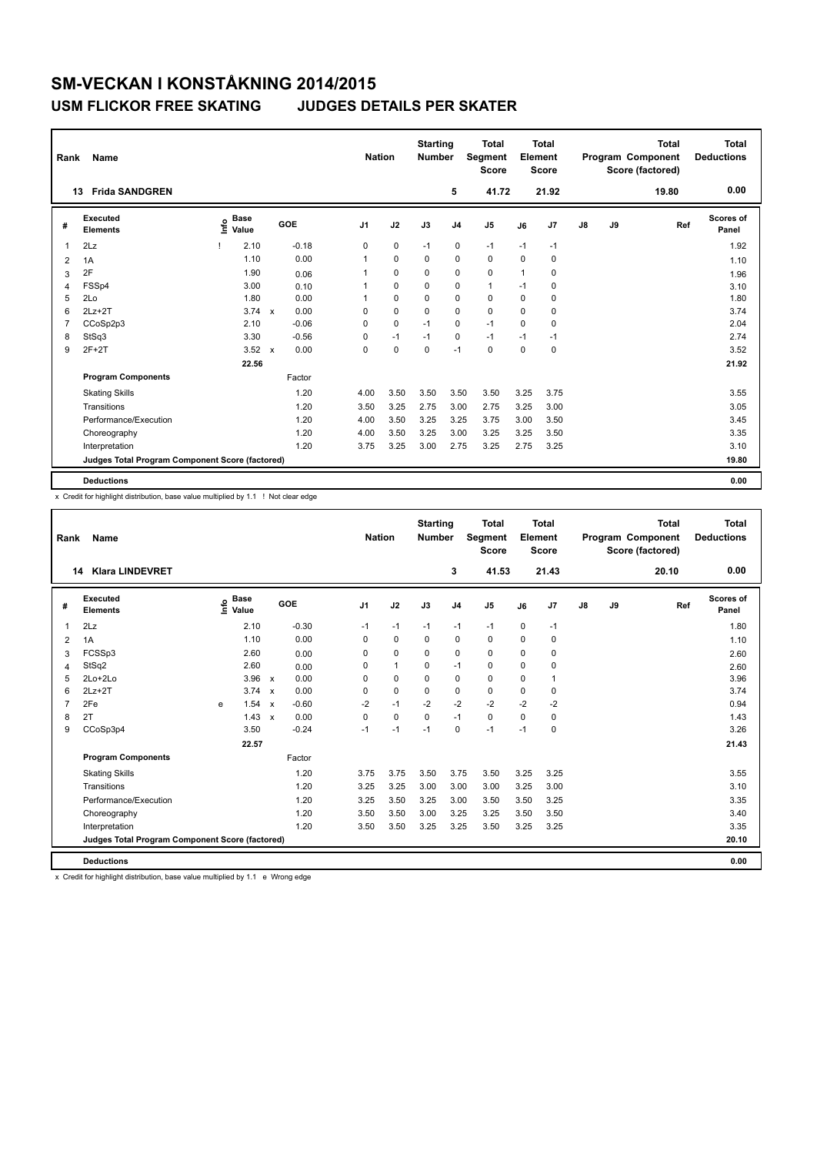| Name<br>Rank   |                                                 |                              |                           |         |                | <b>Nation</b> |          | <b>Starting</b><br><b>Number</b> | <b>Total</b><br>Segment<br><b>Score</b> |             | Total<br>Element<br><b>Score</b> | <b>Total</b><br>Program Component<br>Score (factored) |    |       | <b>Total</b><br><b>Deductions</b> |
|----------------|-------------------------------------------------|------------------------------|---------------------------|---------|----------------|---------------|----------|----------------------------------|-----------------------------------------|-------------|----------------------------------|-------------------------------------------------------|----|-------|-----------------------------------|
|                | <b>Frida SANDGREN</b><br>13                     |                              |                           |         |                |               |          | 5                                | 41.72                                   |             | 21.92                            |                                                       |    | 19.80 | 0.00                              |
| #              | Executed<br><b>Elements</b>                     | <b>Base</b><br>١nf٥<br>Value |                           | GOE     | J <sub>1</sub> | J2            | J3       | J <sub>4</sub>                   | J <sub>5</sub>                          | J6          | J7                               | $\mathsf{J}8$                                         | J9 | Ref   | <b>Scores of</b><br>Panel         |
| 1              | 2Lz                                             | 2.10                         |                           | $-0.18$ | 0              | $\mathbf 0$   | $-1$     | $\pmb{0}$                        | $-1$                                    | $-1$        | $-1$                             |                                                       |    |       | 1.92                              |
| 2              | 1A                                              | 1.10                         |                           | 0.00    | 1              | $\mathbf 0$   | $\Omega$ | $\mathbf 0$                      | $\mathbf 0$                             | $\mathbf 0$ | 0                                |                                                       |    |       | 1.10                              |
| 3              | 2F                                              | 1.90                         |                           | 0.06    |                | 0             | $\Omega$ | 0                                | 0                                       | -1          | $\Omega$                         |                                                       |    |       | 1.96                              |
| $\overline{4}$ | FSSp4                                           | 3.00                         |                           | 0.10    |                | $\mathbf 0$   | 0        | $\pmb{0}$                        | $\mathbf{1}$                            | $-1$        | 0                                |                                                       |    |       | 3.10                              |
| 5              | 2Lo                                             | 1.80                         |                           | 0.00    |                | $\mathbf 0$   | $\Omega$ | $\pmb{0}$                        | $\mathbf 0$                             | $\Omega$    | 0                                |                                                       |    |       | 1.80                              |
| 6              | $2Lz+2T$                                        | $3.74 \times$                |                           | 0.00    | 0              | $\mathbf 0$   | $\Omega$ | $\mathbf 0$                      | $\mathbf 0$                             | $\Omega$    | $\mathbf 0$                      |                                                       |    |       | 3.74                              |
| 7              | CCoSp2p3                                        | 2.10                         |                           | $-0.06$ | 0              | $\mathbf 0$   | $-1$     | 0                                | $-1$                                    | $\Omega$    | 0                                |                                                       |    |       | 2.04                              |
| 8              | StSq3                                           | 3.30                         |                           | $-0.56$ | 0              | $-1$          | $-1$     | 0                                | $-1$                                    | $-1$        | $-1$                             |                                                       |    |       | 2.74                              |
| 9              | $2F+2T$                                         | 3.52                         | $\boldsymbol{\mathsf{x}}$ | 0.00    | 0              | 0             | 0        | $-1$                             | 0                                       | $\Omega$    | $\mathbf 0$                      |                                                       |    |       | 3.52                              |
|                |                                                 | 22.56                        |                           |         |                |               |          |                                  |                                         |             |                                  |                                                       |    |       | 21.92                             |
|                | <b>Program Components</b>                       |                              |                           | Factor  |                |               |          |                                  |                                         |             |                                  |                                                       |    |       |                                   |
|                | <b>Skating Skills</b>                           |                              |                           | 1.20    | 4.00           | 3.50          | 3.50     | 3.50                             | 3.50                                    | 3.25        | 3.75                             |                                                       |    |       | 3.55                              |
|                | Transitions                                     |                              |                           | 1.20    | 3.50           | 3.25          | 2.75     | 3.00                             | 2.75                                    | 3.25        | 3.00                             |                                                       |    |       | 3.05                              |
|                | Performance/Execution                           |                              |                           | 1.20    | 4.00           | 3.50          | 3.25     | 3.25                             | 3.75                                    | 3.00        | 3.50                             |                                                       |    |       | 3.45                              |
|                | Choreography                                    |                              |                           | 1.20    | 4.00           | 3.50          | 3.25     | 3.00                             | 3.25                                    | 3.25        | 3.50                             |                                                       |    |       | 3.35                              |
|                | Interpretation                                  |                              |                           | 1.20    | 3.75           | 3.25          | 3.00     | 2.75                             | 3.25                                    | 2.75        | 3.25                             |                                                       |    |       | 3.10                              |
|                | Judges Total Program Component Score (factored) |                              |                           |         |                |               |          |                                  |                                         |             |                                  |                                                       |    |       | 19.80                             |
|                | <b>Deductions</b>                               |                              |                           |         |                |               |          |                                  |                                         |             |                                  |                                                       |    |       | 0.00                              |

x Credit for highlight distribution, base value multiplied by 1.1 ! Not clear edge

| Rank           | <b>Name</b>                                     |   |                                  |                           |         | <b>Nation</b>  |              | <b>Starting</b><br><b>Number</b> |                | <b>Total</b><br>Segment<br><b>Score</b> |      | Total<br>Element<br><b>Score</b> |    |    | <b>Total</b><br>Program Component<br>Score (factored) | <b>Total</b><br><b>Deductions</b> |
|----------------|-------------------------------------------------|---|----------------------------------|---------------------------|---------|----------------|--------------|----------------------------------|----------------|-----------------------------------------|------|----------------------------------|----|----|-------------------------------------------------------|-----------------------------------|
|                | <b>Klara LINDEVRET</b><br>14                    |   |                                  |                           |         |                |              |                                  | 3              | 41.53                                   |      | 21.43                            |    |    | 20.10                                                 | 0.00                              |
| #              | Executed<br><b>Elements</b>                     |   | <b>Base</b><br>e Base<br>⊆ Value |                           | GOE     | J <sub>1</sub> | J2           | J3                               | J <sub>4</sub> | J <sub>5</sub>                          | J6   | J7                               | J8 | J9 | Ref                                                   | Scores of<br>Panel                |
| $\overline{1}$ | 2Lz                                             |   | 2.10                             |                           | $-0.30$ | $-1$           | $-1$         | $-1$                             | $-1$           | $-1$                                    | 0    | $-1$                             |    |    |                                                       | 1.80                              |
| 2              | 1A                                              |   | 1.10                             |                           | 0.00    | 0              | $\mathbf 0$  | $\mathbf 0$                      | $\mathbf 0$    | $\mathbf 0$                             | 0    | 0                                |    |    |                                                       | 1.10                              |
| 3              | FCSSp3                                          |   | 2.60                             |                           | 0.00    | $\Omega$       | $\Omega$     | $\Omega$                         | $\mathbf 0$    | $\mathbf 0$                             | 0    | 0                                |    |    |                                                       | 2.60                              |
| $\overline{4}$ | StSq2                                           |   | 2.60                             |                           | 0.00    | 0              | $\mathbf{1}$ | $\Omega$                         | $-1$           | $\mathbf 0$                             | 0    | 0                                |    |    |                                                       | 2.60                              |
| 5              | $2Lo+2Lo$                                       |   | 3.96                             | $\boldsymbol{\mathsf{x}}$ | 0.00    | $\Omega$       | $\mathbf 0$  | $\Omega$                         | $\mathbf 0$    | $\mathbf 0$                             | 0    | 1                                |    |    |                                                       | 3.96                              |
| 6              | $2Lz + 2T$                                      |   | $3.74 \times$                    |                           | 0.00    | 0              | $\mathbf 0$  | 0                                | $\pmb{0}$      | $\mathbf 0$                             | 0    | 0                                |    |    |                                                       | 3.74                              |
| $\overline{7}$ | 2Fe                                             | e | 1.54                             | $\boldsymbol{\mathsf{x}}$ | $-0.60$ | $-2$           | $-1$         | $-2$                             | $-2$           | $-2$                                    | $-2$ | $-2$                             |    |    |                                                       | 0.94                              |
| 8              | 2T                                              |   | 1.43                             | $\boldsymbol{\mathsf{x}}$ | 0.00    | $\Omega$       | $\mathbf 0$  | 0                                | $-1$           | 0                                       | 0    | 0                                |    |    |                                                       | 1.43                              |
| 9              | CCoSp3p4                                        |   | 3.50                             |                           | $-0.24$ | $-1$           | $-1$         | $-1$                             | $\mathbf 0$    | $-1$                                    | $-1$ | 0                                |    |    |                                                       | 3.26                              |
|                |                                                 |   | 22.57                            |                           |         |                |              |                                  |                |                                         |      |                                  |    |    |                                                       | 21.43                             |
|                | <b>Program Components</b>                       |   |                                  |                           | Factor  |                |              |                                  |                |                                         |      |                                  |    |    |                                                       |                                   |
|                | <b>Skating Skills</b>                           |   |                                  |                           | 1.20    | 3.75           | 3.75         | 3.50                             | 3.75           | 3.50                                    | 3.25 | 3.25                             |    |    |                                                       | 3.55                              |
|                | Transitions                                     |   |                                  |                           | 1.20    | 3.25           | 3.25         | 3.00                             | 3.00           | 3.00                                    | 3.25 | 3.00                             |    |    |                                                       | 3.10                              |
|                | Performance/Execution                           |   |                                  |                           | 1.20    | 3.25           | 3.50         | 3.25                             | 3.00           | 3.50                                    | 3.50 | 3.25                             |    |    |                                                       | 3.35                              |
|                | Choreography                                    |   |                                  |                           | 1.20    | 3.50           | 3.50         | 3.00                             | 3.25           | 3.25                                    | 3.50 | 3.50                             |    |    |                                                       | 3.40                              |
|                | Interpretation                                  |   |                                  |                           | 1.20    | 3.50           | 3.50         | 3.25                             | 3.25           | 3.50                                    | 3.25 | 3.25                             |    |    |                                                       | 3.35                              |
|                | Judges Total Program Component Score (factored) |   |                                  |                           |         |                |              |                                  |                |                                         |      |                                  |    |    |                                                       | 20.10                             |
|                | <b>Deductions</b>                               |   |                                  |                           |         |                |              |                                  |                |                                         |      |                                  |    |    |                                                       | 0.00                              |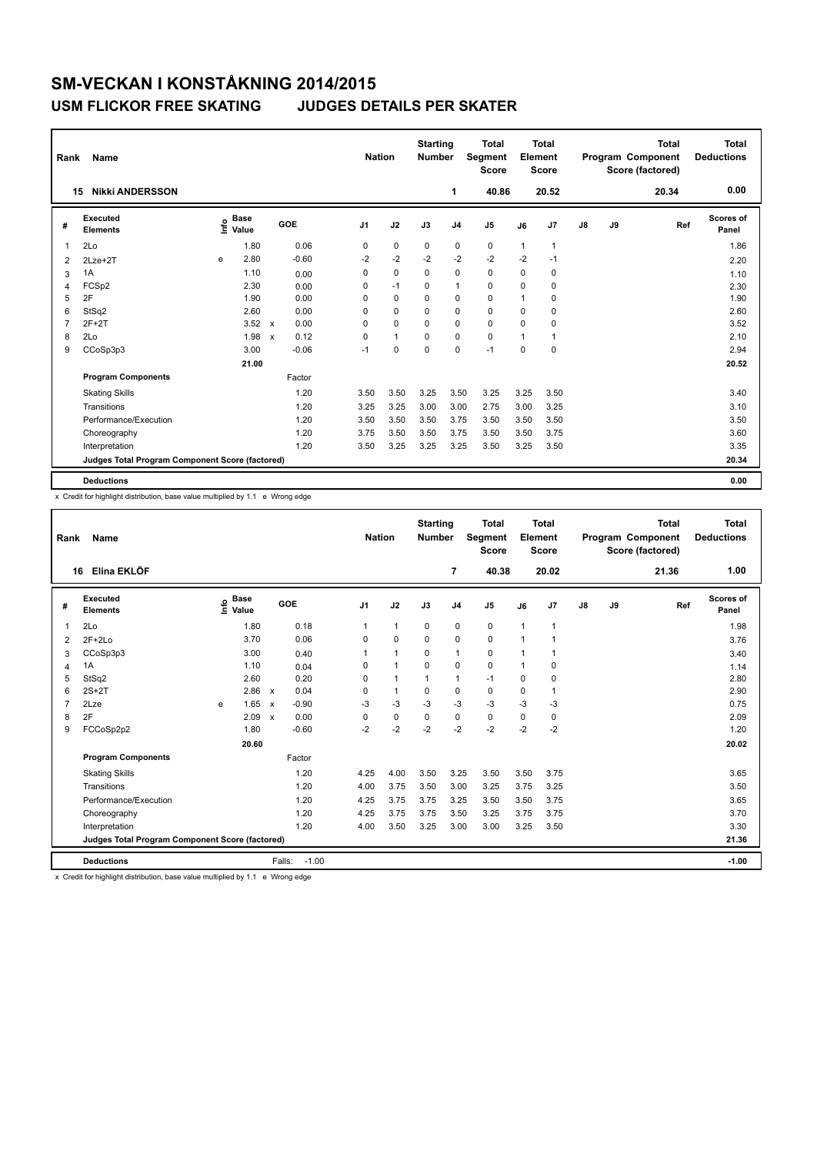| <b>Name</b><br>Rank |                                                 |      |                      |                           |         | <b>Nation</b>  |              | <b>Starting</b><br><b>Number</b> |                | <b>Total</b><br>Segment<br><b>Score</b> | <b>Total</b><br>Element<br><b>Score</b> |                |               |    | <b>Total</b><br>Program Component<br>Score (factored) | <b>Total</b><br><b>Deductions</b> |
|---------------------|-------------------------------------------------|------|----------------------|---------------------------|---------|----------------|--------------|----------------------------------|----------------|-----------------------------------------|-----------------------------------------|----------------|---------------|----|-------------------------------------------------------|-----------------------------------|
| 15                  | <b>Nikki ANDERSSON</b>                          |      |                      |                           |         |                |              |                                  | 1              | 40.86                                   |                                         | 20.52          |               |    | 20.34                                                 | 0.00                              |
| #                   | Executed<br><b>Elements</b>                     | lnfo | <b>Base</b><br>Value |                           | GOE     | J <sub>1</sub> | J2           | J3                               | J <sub>4</sub> | J <sub>5</sub>                          | J6                                      | J7             | $\mathsf{J}8$ | J9 | Ref                                                   | <b>Scores of</b><br>Panel         |
| $\mathbf{1}$        | 2Lo                                             |      | 1.80                 |                           | 0.06    | 0              | $\pmb{0}$    | 0                                | 0              | 0                                       | 1                                       | $\overline{1}$ |               |    |                                                       | 1.86                              |
| 2                   | $2Lze+2T$                                       | e    | 2.80                 |                           | $-0.60$ | $-2$           | $-2$         | $-2$                             | $-2$           | $-2$                                    | $-2$                                    | $-1$           |               |    |                                                       | 2.20                              |
| 3                   | 1A                                              |      | 1.10                 |                           | 0.00    | 0              | $\mathbf 0$  | $\Omega$                         | $\mathbf 0$    | $\mathbf 0$                             | 0                                       | 0              |               |    |                                                       | 1.10                              |
| $\overline{4}$      | FCSp2                                           |      | 2.30                 |                           | 0.00    | 0              | $-1$         | 0                                | $\mathbf{1}$   | $\mathbf 0$                             | 0                                       | 0              |               |    |                                                       | 2.30                              |
| 5                   | 2F                                              |      | 1.90                 |                           | 0.00    | 0              | 0            | 0                                | 0              | 0                                       | 1                                       | 0              |               |    |                                                       | 1.90                              |
| 6                   | StSq2                                           |      | 2.60                 |                           | 0.00    | 0              | $\Omega$     | $\Omega$                         | $\mathbf 0$    | 0                                       | 0                                       | 0              |               |    |                                                       | 2.60                              |
| $\overline{7}$      | $2F+2T$                                         |      | 3.52                 | $\mathsf{x}$              | 0.00    | 0              | $\mathbf 0$  | $\mathbf 0$                      | $\mathbf 0$    | $\mathbf 0$                             | 0                                       | 0              |               |    |                                                       | 3.52                              |
| 8                   | 2Lo                                             |      | 1.98                 | $\boldsymbol{\mathsf{x}}$ | 0.12    | 0              | $\mathbf{1}$ | 0                                | $\pmb{0}$      | $\mathbf 0$                             | 1                                       | 1              |               |    |                                                       | 2.10                              |
| 9                   | CCoSp3p3                                        |      | 3.00                 |                           | $-0.06$ | $-1$           | $\mathbf 0$  | $\Omega$                         | $\mathbf 0$    | $-1$                                    | 0                                       | 0              |               |    |                                                       | 2.94                              |
|                     |                                                 |      | 21.00                |                           |         |                |              |                                  |                |                                         |                                         |                |               |    |                                                       | 20.52                             |
|                     | <b>Program Components</b>                       |      |                      |                           | Factor  |                |              |                                  |                |                                         |                                         |                |               |    |                                                       |                                   |
|                     | <b>Skating Skills</b>                           |      |                      |                           | 1.20    | 3.50           | 3.50         | 3.25                             | 3.50           | 3.25                                    | 3.25                                    | 3.50           |               |    |                                                       | 3.40                              |
|                     | Transitions                                     |      |                      |                           | 1.20    | 3.25           | 3.25         | 3.00                             | 3.00           | 2.75                                    | 3.00                                    | 3.25           |               |    |                                                       | 3.10                              |
|                     | Performance/Execution                           |      |                      |                           | 1.20    | 3.50           | 3.50         | 3.50                             | 3.75           | 3.50                                    | 3.50                                    | 3.50           |               |    |                                                       | 3.50                              |
|                     | Choreography                                    |      |                      |                           | 1.20    | 3.75           | 3.50         | 3.50                             | 3.75           | 3.50                                    | 3.50                                    | 3.75           |               |    |                                                       | 3.60                              |
|                     | Interpretation                                  |      |                      |                           | 1.20    | 3.50           | 3.25         | 3.25                             | 3.25           | 3.50                                    | 3.25                                    | 3.50           |               |    |                                                       | 3.35                              |
|                     | Judges Total Program Component Score (factored) |      |                      |                           |         |                |              |                                  |                |                                         |                                         |                |               |    |                                                       | 20.34                             |
|                     | <b>Deductions</b>                               |      |                      |                           |         |                |              |                                  |                |                                         |                                         |                |               |    |                                                       | 0.00                              |

x Credit for highlight distribution, base value multiplied by 1.1 e Wrong edge

| <b>Nation</b><br>Rank<br><b>Name</b> |                                                 |   |                                    |                           |         |                |                      | <b>Starting</b><br><b>Number</b> |                | <b>Total</b><br><b>Segment</b><br><b>Score</b> |             | <b>Total</b><br>Element<br><b>Score</b> |    |    | <b>Total</b><br>Program Component<br>Score (factored) | <b>Total</b><br><b>Deductions</b> |
|--------------------------------------|-------------------------------------------------|---|------------------------------------|---------------------------|---------|----------------|----------------------|----------------------------------|----------------|------------------------------------------------|-------------|-----------------------------------------|----|----|-------------------------------------------------------|-----------------------------------|
| 16                                   | Elina EKLÖF                                     |   |                                    |                           |         |                |                      |                                  | 7              | 40.38                                          |             | 20.02                                   |    |    | 21.36                                                 | 1.00                              |
| #                                    | Executed<br><b>Elements</b>                     |   | <b>Base</b><br>$\frac{6}{5}$ Value |                           | GOE     | J <sub>1</sub> | J2                   | J3                               | J <sub>4</sub> | J <sub>5</sub>                                 | J6          | J7                                      | J8 | J9 | Ref                                                   | Scores of<br>Panel                |
| $\overline{1}$                       | 2Lo                                             |   | 1.80                               |                           | 0.18    | 1              | $\mathbf{1}$         | $\mathbf 0$                      | $\mathbf 0$    | $\mathbf 0$                                    | 1           | $\mathbf{1}$                            |    |    |                                                       | 1.98                              |
| 2                                    | $2F+2Lo$                                        |   | 3.70                               |                           | 0.06    | 0              | $\mathbf 0$          | $\mathbf 0$                      | $\mathbf 0$    | $\mathbf 0$                                    | 1           | 1                                       |    |    |                                                       | 3.76                              |
| 3                                    | CCoSp3p3                                        |   | 3.00                               |                           | 0.40    |                | $\blacktriangleleft$ | 0                                | $\mathbf{1}$   | $\mathbf 0$                                    | 1           | $\mathbf{1}$                            |    |    |                                                       | 3.40                              |
| $\overline{4}$                       | 1A                                              |   | 1.10                               |                           | 0.04    | $\Omega$       | $\blacktriangleleft$ | $\Omega$                         | $\Omega$       | 0                                              | 1           | 0                                       |    |    |                                                       | 1.14                              |
| 5                                    | StSq2                                           |   | 2.60                               |                           | 0.20    | $\Omega$       | $\overline{1}$       | 1                                | $\mathbf{1}$   | $-1$                                           | $\Omega$    | 0                                       |    |    |                                                       | 2.80                              |
| 6                                    | $2S+2T$                                         |   | 2.86                               | $\boldsymbol{\mathsf{x}}$ | 0.04    | 0              | $\mathbf{1}$         | 0                                | $\pmb{0}$      | 0                                              | 0           | 1                                       |    |    |                                                       | 2.90                              |
| $\overline{7}$                       | 2Lze                                            | e | 1.65                               | $\boldsymbol{\mathsf{x}}$ | $-0.90$ | $-3$           | $-3$                 | $-3$                             | $-3$           | $-3$                                           | $-3$        | $-3$                                    |    |    |                                                       | 0.75                              |
| 8                                    | 2F                                              |   | 2.09                               | $\boldsymbol{\mathsf{x}}$ | 0.00    | $\Omega$       | $\mathbf 0$          | $\mathbf 0$                      | $\mathbf 0$    | $\mathbf 0$                                    | $\mathbf 0$ | 0                                       |    |    |                                                       | 2.09                              |
| 9                                    | FCCoSp2p2                                       |   | 1.80                               |                           | $-0.60$ | $-2$           | $-2$                 | $-2$                             | $-2$           | $-2$                                           | $-2$        | $-2$                                    |    |    |                                                       | 1.20                              |
|                                      |                                                 |   | 20.60                              |                           |         |                |                      |                                  |                |                                                |             |                                         |    |    |                                                       | 20.02                             |
|                                      | <b>Program Components</b>                       |   |                                    |                           | Factor  |                |                      |                                  |                |                                                |             |                                         |    |    |                                                       |                                   |
|                                      | <b>Skating Skills</b>                           |   |                                    |                           | 1.20    | 4.25           | 4.00                 | 3.50                             | 3.25           | 3.50                                           | 3.50        | 3.75                                    |    |    |                                                       | 3.65                              |
|                                      | Transitions                                     |   |                                    |                           | 1.20    | 4.00           | 3.75                 | 3.50                             | 3.00           | 3.25                                           | 3.75        | 3.25                                    |    |    |                                                       | 3.50                              |
|                                      | Performance/Execution                           |   |                                    |                           | 1.20    | 4.25           | 3.75                 | 3.75                             | 3.25           | 3.50                                           | 3.50        | 3.75                                    |    |    |                                                       | 3.65                              |
|                                      | Choreography                                    |   |                                    |                           | 1.20    | 4.25           | 3.75                 | 3.75                             | 3.50           | 3.25                                           | 3.75        | 3.75                                    |    |    |                                                       | 3.70                              |
|                                      | Interpretation                                  |   |                                    |                           | 1.20    | 4.00           | 3.50                 | 3.25                             | 3.00           | 3.00                                           | 3.25        | 3.50                                    |    |    |                                                       | 3.30                              |
|                                      | Judges Total Program Component Score (factored) |   |                                    |                           |         |                |                      |                                  |                |                                                |             |                                         |    |    |                                                       | 21.36                             |
|                                      | <b>Deductions</b>                               |   |                                    | Falls:                    | $-1.00$ |                |                      |                                  |                |                                                |             |                                         |    |    |                                                       | $-1.00$                           |